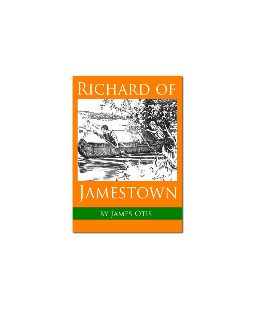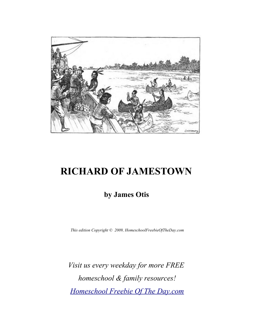

# **RICHARD OF JAMESTOWN**

## **by James Otis**

*This edition Copyright © 2009, HomeschoolFreebieOfTheDay.com*

*Visit us every weekday for more FREE homeschool & family resources! [Homeschool Freebie Of The Day.com](http://www.homeschoolfreebieoftheday.com/)*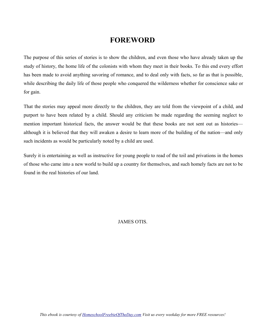#### **FOREWORD**

The purpose of this series of stories is to show the children, and even those who have already taken up the study of history, the home life of the colonists with whom they meet in their books. To this end every effort has been made to avoid anything savoring of romance, and to deal only with facts, so far as that is possible, while describing the daily life of those people who conquered the wilderness whether for conscience sake or for gain.

That the stories may appeal more directly to the children, they are told from the viewpoint of a child, and purport to have been related by a child. Should any criticism be made regarding the seeming neglect to mention important historical facts, the answer would be that these books are not sent out as histories although it is believed that they will awaken a desire to learn more of the building of the nation—and only such incidents as would be particularly noted by a child are used.

Surely it is entertaining as well as instructive for young people to read of the toil and privations in the homes of those who came into a new world to build up a country for themselves, and such homely facts are not to be found in the real histories of our land.

JAMES OTIS.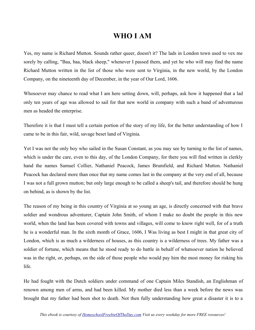#### **WHO I AM**

Yes, my name is Richard Mutton. Sounds rather queer, doesn't it? The lads in London town used to vex me sorely by calling, "Baa, baa, black sheep," whenever I passed them, and yet he who will may find the name Richard Mutton written in the list of those who were sent to Virginia, in the new world, by the London Company, on the nineteenth day of December, in the year of Our Lord, 1606.

Whosoever may chance to read what I am here setting down, will, perhaps, ask how it happened that a lad only ten years of age was allowed to sail for that new world in company with such a band of adventurous men as headed the enterprise.

Therefore it is that I must tell a certain portion of the story of my life, for the better understanding of how I came to be in this fair, wild, savage beset land of Virginia.

Yet I was not the only boy who sailed in the Susan Constant, as you may see by turning to the list of names, which is under the care, even to this day, of the London Company, for there you will find written in clerkly hand the names Samuel Collier, Nathaniel Peacock, James Brumfield, and Richard Mutton. Nathaniel Peacock has declared more than once that my name comes last in the company at the very end of all, because I was not a full grown mutton; but only large enough to be called a sheep's tail, and therefore should be hung on behind, as is shown by the list.

The reason of my being in this country of Virginia at so young an age, is directly concerned with that brave soldier and wondrous adventurer, Captain John Smith, of whom I make no doubt the people in this new world, when the land has been covered with towns and villages, will come to know right well, for of a truth he is a wonderful man. In the sixth month of Grace, 1606, I Was living as best I might in that great city of London, which is as much a wilderness of houses, as this country is a wilderness of trees. My father was a soldier of fortune, which means that he stood ready to do battle in behalf of whatsoever nation he believed was in the right, or, perhaps, on the side of those people who would pay him the most money for risking his life.

He had fought with the Dutch soldiers under command of one Captain Miles Standish, an Englishman of renown among men of arms, and had been killed. My mother died less than a week before the news was brought that my father had been shot to death. Not then fully understanding how great a disaster it is to a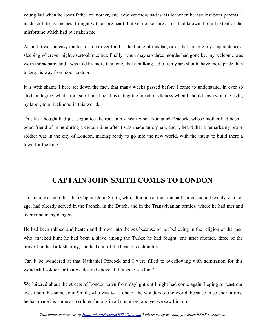young lad when he loses father or mother, and how yet more sad is his lot when he has lost both parents, I made shift to live as best I might with a sore heart; but yet not so sore as if I had known the full extent of the misfortune which had overtaken me.

At first it was an easy matter for me to get food at the home of this lad, or of that, among my acquaintances, sleeping wherever night overtook me; but, finally, when mayhap three months had gone by, my welcome was worn threadbare, and I was told by more than one, that a hulking lad of ten years should have more pride than to beg his way from door to door.

It is with shame I here set down the fact, that many weeks passed before I came to understand, in ever so slight a degree, what a milksop I must be, thus eating the bread of idleness when I should have won the right, by labor, to a livelihood in this world.

This last thought had just begun to take root in my heart when Nathaniel Peacock, whose mother had been a good friend of mine during a certain time after I was made an orphan, and I, heard that a remarkably brave soldier was in the city of London, making ready to go into the new world, with the intent to build there a town for the king.

## **CAPTAIN JOHN SMITH COMES TO LONDON**

This man was no other than Captain John Smith, who, although at this time not above six and twenty years of age, had already served in the French, in the Dutch, and in the Transylvanian armies, where he had met and overcome many dangers.

He had been robbed and beaten and thrown into the sea because of not believing in the religion of the men who attacked him; he had been a slave among the Turks; he had fought, one after another, three of the bravest in the Turkish army, and had cut off the head of each in turn.

Can it be wondered at that Nathaniel Peacock and I were filled to overflowing with admiration for this wonderful soldier, or that we desired above all things to see him?

We loitered about the streets of London town from daylight until night had come again, hoping to feast our eyes upon this same John Smith, who was to us one of the wonders of the world, because in so short a time he had made his name as a soldier famous in all countries, and yet we saw him not.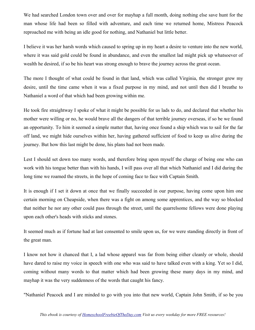We had searched London town over and over for mayhap a full month, doing nothing else save hunt for the man whose life had been so filled with adventure, and each time we returned home, Mistress Peacock reproached me with being an idle good for nothing, and Nathaniel but little better.

I believe it was her harsh words which caused to spring up in my heart a desire to venture into the new world, where it was said gold could be found in abundance, and even the smallest lad might pick up whatsoever of wealth he desired, if so be his heart was strong enough to brave the journey across the great ocean.

The more I thought of what could be found in that land, which was called Virginia, the stronger grew my desire, until the time came when it was a fixed purpose in my mind, and not until then did I breathe to Nathaniel a word of that which had been growing within me.

He took fire straightway I spoke of what it might be possible for us lads to do, and declared that whether his mother were willing or no, he would brave all the dangers of that terrible journey overseas, if so be we found an opportunity. To him it seemed a simple matter that, having once found a ship which was to sail for the far off land, we might hide ourselves within her, having gathered sufficient of food to keep us alive during the journey. But how this last might be done, his plans had not been made.

Lest I should set down too many words, and therefore bring upon myself the charge of being one who can work with his tongue better than with his hands, I will pass over all that which Nathaniel and I did during the long time we roamed the streets, in the hope of coming face to face with Captain Smith.

It is enough if I set it down at once that we finally succeeded in our purpose, having come upon him one certain morning on Cheapside, when there was a fight on among some apprentices, and the way so blocked that neither he nor any other could pass through the street, until the quarrelsome fellows were done playing upon each other's heads with sticks and stones.

It seemed much as if fortune had at last consented to smile upon us, for we were standing directly in front of the great man.

I know not how it chanced that I, a lad whose apparel was far from being either cleanly or whole, should have dared to raise my voice in speech with one who was said to have talked even with a king. Yet so I did, coming without many words to that matter which had been growing these many days in my mind, and mayhap it was the very suddenness of the words that caught his fancy.

"Nathaniel Peacock and I are minded to go with you into that new world, Captain John Smith, if so be you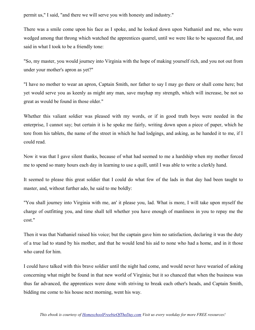permit us," I said, "and there we will serve you with honesty and industry."

There was a smile come upon his face as I spoke, and he looked down upon Nathaniel and me, who were wedged among that throng which watched the apprentices quarrel, until we were like to be squeezed flat, and said in what I took to be a friendly tone:

"So, my master, you would journey into Virginia with the hope of making yourself rich, and you not out from under your mother's apron as yet?"

"I have no mother to wear an apron, Captain Smith, nor father to say I may go there or shall come here; but yet would serve you as keenly as might any man, save mayhap my strength, which will increase, be not so great as would be found in those older."

Whether this valiant soldier was pleased with my words, or if in good truth boys were needed in the enterprise, I cannot say; but certain it is he spoke me fairly, writing down upon a piece of paper, which he tore from his tablets, the name of the street in which he had lodgings, and asking, as he handed it to me, if I could read.

Now it was that I gave silent thanks, because of what had seemed to me a hardship when my mother forced me to spend so many hours each day in learning to use a quill, until I was able to write a clerkly hand.

It seemed to please this great soldier that I could do what few of the lads in that day had been taught to master, and, without further ado, he said to me boldly:

"You shall journey into Virginia with me, an' it please you, lad. What is more, I will take upon myself the charge of outfitting you, and time shall tell whether you have enough of manliness in you to repay me the cost."

Then it was that Nathaniel raised his voice; but the captain gave him no satisfaction, declaring it was the duty of a true lad to stand by his mother, and that he would lend his aid to none who had a home, and in it those who cared for him.

I could have talked with this brave soldier until the night had come, and would never have wearied of asking concerning what might be found in that new world of Virginia; but it so chanced that when the business was thus far advanced, the apprentices were done with striving to break each other's heads, and Captain Smith, bidding me come to his house next morning, went his way.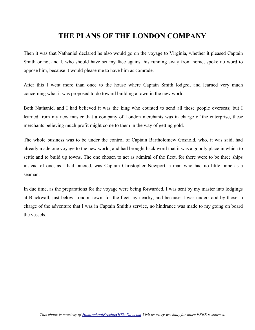#### **THE PLANS OF THE LONDON COMPANY**

Then it was that Nathaniel declared he also would go on the voyage to Virginia, whether it pleased Captain Smith or no, and I, who should have set my face against his running away from home, spoke no word to oppose him, because it would please me to have him as comrade.

After this I went more than once to the house where Captain Smith lodged, and learned very much concerning what it was proposed to do toward building a town in the new world.

Both Nathaniel and I had believed it was the king who counted to send all these people overseas; but I learned from my new master that a company of London merchants was in charge of the enterprise, these merchants believing much profit might come to them in the way of getting gold.

The whole business was to be under the control of Captain Bartholomew Gosnold, who, it was said, had already made one voyage to the new world, and had brought back word that it was a goodly place in which to settle and to build up towns. The one chosen to act as admiral of the fleet, for there were to be three ships instead of one, as I had fancied, was Captain Christopher Newport, a man who had no little fame as a seaman.

In due time, as the preparations for the voyage were being forwarded, I was sent by my master into lodgings at Blackwall, just below London town, for the fleet lay nearby, and because it was understood by those in charge of the adventure that I was in Captain Smith's service, no hindrance was made to my going on board the vessels.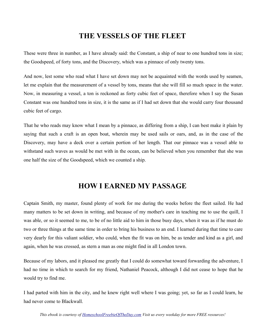#### **THE VESSELS OF THE FLEET**

These were three in number, as I have already said: the Constant, a ship of near to one hundred tons in size; the Goodspeed, of forty tons, and the Discovery, which was a pinnace of only twenty tons.

And now, lest some who read what I have set down may not be acquainted with the words used by seamen, let me explain that the measurement of a vessel by tons, means that she will fill so much space in the water. Now, in measuring a vessel, a ton is reckoned as forty cubic feet of space, therefore when I say the Susan Constant was one hundred tons in size, it is the same as if I had set down that she would carry four thousand cubic feet of cargo.

That he who reads may know what I mean by a pinnace, as differing from a ship, I can best make it plain by saying that such a craft is an open boat, wherein may be used sails or oars, and, as in the case of the Discovery, may have a deck over a certain portion of her length. That our pinnace was a vessel able to withstand such waves as would be met with in the ocean, can be believed when you remember that she was one half the size of the Goodspeed, which we counted a ship.

#### **HOW I EARNED MY PASSAGE**

Captain Smith, my master, found plenty of work for me during the weeks before the fleet sailed. He had many matters to be set down in writing, and because of my mother's care in teaching me to use the quill, I was able, or so it seemed to me, to be of no little aid to him in those busy days, when it was as if he must do two or three things at the same time in order to bring his business to an end. I learned during that time to care very dearly for this valiant soldier, who could, when the fit was on him, be as tender and kind as a girl, and again, when he was crossed, as stern a man as one might find in all London town.

Because of my labors, and it pleased me greatly that I could do somewhat toward forwarding the adventure, I had no time in which to search for my friend, Nathaniel Peacock, although I did not cease to hope that he would try to find me.

I had parted with him in the city, and he knew right well where I was going; yet, so far as I could learn, he had never come to Blackwall.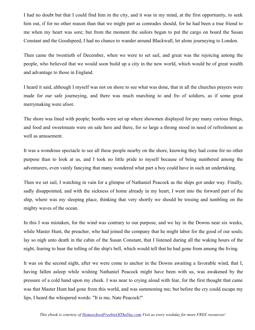I had no doubt but that I could find him in the city, and it was in my mind, at the first opportunity, to seek him out, if for no other reason than that we might part as comrades should, for he had been a true friend to me when my heart was sore; but from the moment the sailors began to put the cargo on board the Susan Constant and the Goodspeed, I had no chance to wander around Blackwall, let alone journeying to London.

Then came the twentieth of December, when we were to set sail, and great was the rejoicing among the people, who believed that we would soon build up a city in the new world, which would be of great wealth and advantage to those in England.

I heard it said, although I myself was not on shore to see what was done, that in all the churches prayers were made for our safe journeying, and there was much marching to and fro of soldiers, as if some great merrymaking were afoot.

The shore was lined with people; booths were set up where showmen displayed for pay many curious things, and food and sweetmeats were on sale here and there, for so large a throng stood in need of refreshment as well as amusement.

It was a wondrous spectacle to see all these people nearby on the shore, knowing they had come for no other purpose than to look at us, and I took no little pride to myself because of being numbered among the adventurers, even vainly fancying that many wondered what part a boy could have in such an undertaking.

Then we set sail, I watching in vain for a glimpse of Nathaniel Peacock as the ships got under way. Finally, sadly disappointed, and with the sickness of home already in my heart, I went into the forward part of the ship, where was my sleeping place, thinking that very shortly we should be tossing and tumbling on the mighty waves of the ocean.

In this I was mistaken, for the wind was contrary to our purpose, and we lay in the Downs near six weeks, while Master Hunt, the preacher, who had joined the company that he might labor for the good of our souls; lay so nigh unto death in the cabin of the Susan Constant, that I listened during all the waking hours of the night, fearing to hear the tolling of the ship's bell, which would tell that he had gone from among the living.

It was on the second night, after we were come to anchor in the Downs awaiting a favorable wind, that I, having fallen asleep while wishing Nathaniel Peacock might have been with us, was awakened by the pressure of a cold hand upon my cheek. I was near to crying aloud with fear, for the first thought that came was that Master Hunt had gone from this world, and was summoning me; but before the cry could escape my lips, I heard the whispered words: "It is me, Nate Peacock!"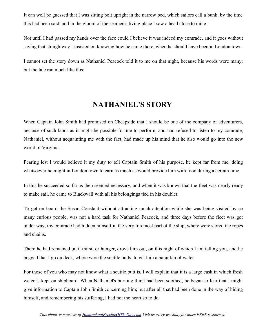It can well be guessed that I was sitting bolt upright in the narrow bed, which sailors call a bunk, by the time this had been said, and in the gloom of the seamen's living place I saw a head close to mine.

Not until I had passed my hands over the face could I believe it was indeed my comrade, and it goes without saying that straightway I insisted on knowing how he came there, when he should have been in London town.

I cannot set the story down as Nathaniel Peacock told it to me on that night, because his words were many; but the tale ran much like this:

#### **NATHANIEL'S STORY**

When Captain John Smith had promised on Cheapside that I should be one of the company of adventurers, because of such labor as it might be possible for me to perform, and had refused to listen to my comrade, Nathaniel, without acquainting me with the fact, had made up his mind that he also would go into the new world of Virginia.

Fearing lest I would believe it my duty to tell Captain Smith of his purpose, he kept far from me, doing whatsoever he might in London town to earn as much as would provide him with food during a certain time.

In this he succeeded so far as then seemed necessary, and when it was known that the fleet was nearly ready to make sail, he came to Blackwall with all his belongings tied in his doublet.

To get on board the Susan Constant without attracting much attention while she was being visited by so many curious people, was not a hard task for Nathaniel Peacock, and three days before the fleet was got under way, my comrade had hidden himself in the very foremost part of the ship, where were stored the ropes and chains.

There he had remained until thirst, or hunger, drove him out, on this night of which I am telling you, and he begged that I go on deck, where were the scuttle butts, to get him a pannikin of water.

For those of you who may not know what a scuttle butt is, I will explain that it is a large cask in which fresh water is kept on shipboard. When Nathaniel's burning thirst had been soothed, he began to fear that I might give information to Captain John Smith concerning him; but after all that had been done in the way of hiding himself, and remembering his suffering, I had not the heart so to do.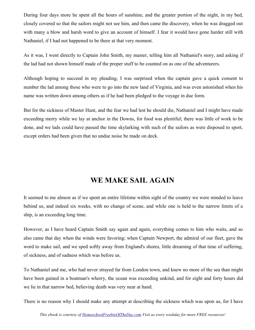During four days more he spent all the hours of sunshine, and the greater portion of the night, in my bed, closely covered so that the sailors might not see him, and then came the discovery, when he was dragged out with many a blow and harsh word to give an account of himself. I fear it would have gone harder still with Nathaniel, if I had not happened to be there at that very moment.

As it was, I went directly to Captain John Smith, my master, telling him all Nathaniel's story, and asking if the lad had not shown himself made of the proper stuff to be counted on as one of the adventurers.

Although hoping to succeed in my pleading, I was surprised when the captain gave a quick consent to number the lad among those who were to go into the new land of Virginia, and was even astonished when his name was written down among others as if he had been pledged to the voyage in due form.

But for the sickness of Master Hunt, and the fear we had lest he should die, Nathaniel and I might have made exceeding merry while we lay at anchor in the Downs, for food was plentiful; there was little of work to be done, and we lads could have passed the time skylarking with such of the sailors as were disposed to sport, except orders had been given that no undue noise be made on deck.

#### **WE MAKE SAIL AGAIN**

It seemed to me almost as if we spent an entire lifetime within sight of the country we were minded to leave behind us, and indeed six weeks, with no change of scene, and while one is held to the narrow limits of a ship, is an exceeding long time.

However, as I have heard Captain Smith say again and again, everything comes to him who waits, and so also came that day when the winds were favoring; when Captain Newport, the admiral of our fleet, gave the word to make sail, and we sped softly away from England's shores, little dreaming of that time of suffering, of sickness, and of sadness which was before us.

To Nathaniel and me, who had never strayed far from London town, and knew no more of the sea than might have been gained in a boatman's wherry, the ocean was exceeding unkind, and for eight and forty hours did we lie in that narrow bed, believing death was very near at hand.

There is no reason why I should make any attempt at describing the sickness which was upon us, for I have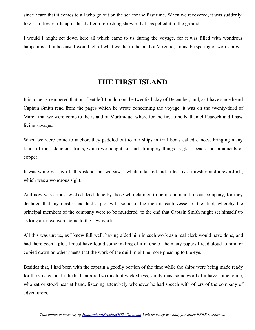since heard that it comes to all who go out on the sea for the first time. When we recovered, it was suddenly, like as a flower lifts up its head after a refreshing shower that has pelted it to the ground.

I would I might set down here all which came to us during the voyage, for it was filled with wondrous happenings; but because I would tell of what we did in the land of Virginia, I must be sparing of words now.

#### **THE FIRST ISLAND**

It is to be remembered that our fleet left London on the twentieth day of December, and, as I have since heard Captain Smith read from the pages which he wrote concerning the voyage, it was on the twenty-third of March that we were come to the island of Martinique, where for the first time Nathaniel Peacock and I saw living savages.

When we were come to anchor, they paddled out to our ships in frail boats called canoes, bringing many kinds of most delicious fruits, which we bought for such trumpery things as glass beads and ornaments of copper.

It was while we lay off this island that we saw a whale attacked and killed by a thresher and a swordfish, which was a wondrous sight.

And now was a most wicked deed done by those who claimed to be in command of our company, for they declared that my master had laid a plot with some of the men in each vessel of the fleet, whereby the principal members of the company were to be murdered, to the end that Captain Smith might set himself up as king after we were come to the new world.

All this was untrue, as I knew full well, having aided him in such work as a real clerk would have done, and had there been a plot, I must have found some inkling of it in one of the many papers I read aloud to him, or copied down on other sheets that the work of the quill might be more pleasing to the eye.

Besides that, I had been with the captain a goodly portion of the time while the ships were being made ready for the voyage, and if he had harbored so much of wickedness, surely must some word of it have come to me, who sat or stood near at hand, listening attentively whenever he had speech with others of the company of adventurers.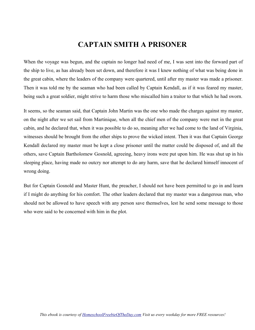#### **CAPTAIN SMITH A PRISONER**

When the voyage was begun, and the captain no longer had need of me, I was sent into the forward part of the ship to live, as has already been set down, and therefore it was I knew nothing of what was being done in the great cabin, where the leaders of the company were quartered, until after my master was made a prisoner. Then it was told me by the seaman who had been called by Captain Kendall, as if it was feared my master, being such a great soldier, might strive to harm those who miscalled him a traitor to that which he had sworn.

It seems, so the seaman said, that Captain John Martin was the one who made the charges against my master, on the night after we set sail from Martinique, when all the chief men of the company were met in the great cabin, and he declared that, when it was possible to do so, meaning after we had come to the land of Virginia, witnesses should be brought from the other ships to prove the wicked intent. Then it was that Captain George Kendall declared my master must be kept a close prisoner until the matter could be disposed of, and all the others, save Captain Bartholomew Gosnold, agreeing, heavy irons were put upon him. He was shut up in his sleeping place, having made no outcry nor attempt to do any harm, save that he declared himself innocent of wrong doing.

But for Captain Gosnold and Master Hunt, the preacher, I should not have been permitted to go in and learn if I might do anything for his comfort. The other leaders declared that my master was a dangerous man, who should not be allowed to have speech with any person save themselves, lest he send some message to those who were said to be concerned with him in the plot.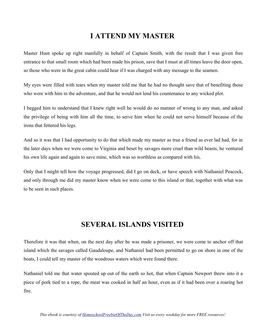## **I ATTEND MY MASTER**

Master Hunt spoke up right manfully in behalf of Captain Smith, with the result that I was given free entrance to that small room which had been made his prison, save that I must at all times leave the door open, so those who were in the great cabin could hear if I was charged with any message to the seamen.

My eyes were filled with tears when my master told me that he had no thought save that of benefiting those who were with him in the adventure, and that he would not lend his countenance to any wicked plot.

I begged him to understand that I knew right well he would do no manner of wrong to any man, and asked the privilege of being with him all the time, to serve him when he could not serve himself because of the irons that fettered his legs.

And so it was that I had opportunity to do that which made my master as true a friend as ever lad had, for in the later days when we were come to Virginia and beset by savages more cruel than wild beasts, he ventured his own life again and again to save mine, which was so worthless as compared with his.

Only that I might tell how the voyage progressed, did I go on deck, or have speech with Nathaniel Peacock, and only through me did my master know when we were come to this island or that, together with what was to be seen in such places.

#### **SEVERAL ISLANDS VISITED**

Therefore it was that when, on the next day after he was made a prisoner, we were come to anchor off that island which the savages called Gaudaloupe, and Nathaniel had been permitted to go on shore in one of the boats, I could tell my master of the wondrous waters which were found there.

Nathaniel told me that water spouted up out of the earth so hot, that when Captain Newport threw into it a piece of pork tied to a rope, the meat was cooked in half an hour, even as if it had been over a roaring hot fire.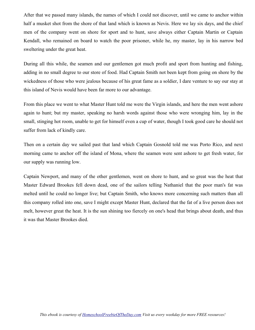After that we passed many islands, the names of which I could not discover, until we came to anchor within half a musket shot from the shore of that land which is known as Nevis. Here we lay six days, and the chief men of the company went on shore for sport and to hunt, save always either Captain Martin or Captain Kendall, who remained on board to watch the poor prisoner, while he, my master, lay in his narrow bed sweltering under the great heat.

During all this while, the seamen and our gentlemen got much profit and sport from hunting and fishing, adding in no small degree to our store of food. Had Captain Smith not been kept from going on shore by the wickedness of those who were jealous because of his great fame as a soldier, I dare venture to say our stay at this island of Nevis would have been far more to our advantage.

From this place we went to what Master Hunt told me were the Virgin islands, and here the men went ashore again to hunt; but my master, speaking no harsh words against those who were wronging him, lay in the small, stinging hot room, unable to get for himself even a cup of water, though I took good care he should not suffer from lack of kindly care.

Then on a certain day we sailed past that land which Captain Gosnold told me was Porto Rico, and next morning came to anchor off the island of Mona, where the seamen were sent ashore to get fresh water, for our supply was running low.

Captain Newport, and many of the other gentlemen, went on shore to hunt, and so great was the heat that Master Edward Brookes fell down dead, one of the sailors telling Nathaniel that the poor man's fat was melted until he could no longer live; but Captain Smith, who knows more concerning such matters than all this company rolled into one, save I might except Master Hunt, declared that the fat of a live person does not melt, however great the heat. It is the sun shining too fiercely on one's head that brings about death, and thus it was that Master Brookes died.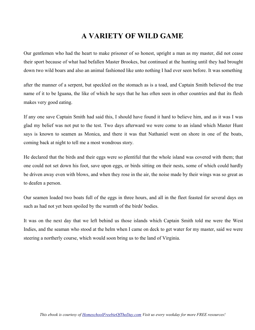## **A VARIETY OF WILD GAME**

Our gentlemen who had the heart to make prisoner of so honest, upright a man as my master, did not cease their sport because of what had befallen Master Brookes, but continued at the hunting until they had brought down two wild boars and also an animal fashioned like unto nothing I had ever seen before. It was something

after the manner of a serpent, but speckled on the stomach as is a toad, and Captain Smith believed the true name of it to be Iguana, the like of which he says that he has often seen in other countries and that its flesh makes very good eating.

If any one save Captain Smith had said this, I should have found it hard to believe him, and as it was I was glad my belief was not put to the test. Two days afterward we were come to an island which Master Hunt says is known to seamen as Monica, and there it was that Nathaniel went on shore in one of the boats, coming back at night to tell me a most wondrous story.

He declared that the birds and their eggs were so plentiful that the whole island was covered with them; that one could not set down his foot, save upon eggs, or birds sitting on their nests, some of which could hardly be driven away even with blows, and when they rose in the air, the noise made by their wings was so great as to deafen a person.

Our seamen loaded two boats full of the eggs in three hours, and all in the fleet feasted for several days on such as had not yet been spoiled by the warmth of the birds' bodies.

It was on the next day that we left behind us those islands which Captain Smith told me were the West Indies, and the seaman who stood at the helm when I came on deck to get water for my master, said we were steering a northerly course, which would soon bring us to the land of Virginia.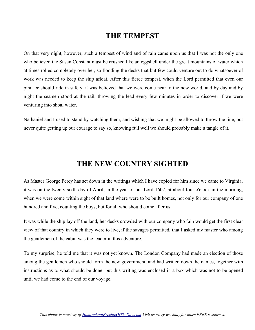#### **THE TEMPEST**

On that very night, however, such a tempest of wind and of rain came upon us that I was not the only one who believed the Susan Constant must be crushed like an eggshell under the great mountains of water which at times rolled completely over her, so flooding the decks that but few could venture out to do whatsoever of work was needed to keep the ship afloat. After this fierce tempest, when the Lord permitted that even our pinnace should ride in safety, it was believed that we were come near to the new world, and by day and by night the seamen stood at the rail, throwing the lead every few minutes in order to discover if we were venturing into shoal water.

Nathaniel and I used to stand by watching them, and wishing that we might be allowed to throw the line, but never quite getting up our courage to say so, knowing full well we should probably make a tangle of it.

#### **THE NEW COUNTRY SIGHTED**

As Master George Percy has set down in the writings which I have copied for him since we came to Virginia, it was on the twenty-sixth day of April, in the year of our Lord 1607, at about four o'clock in the morning, when we were come within sight of that land where were to be built homes, not only for our company of one hundred and five, counting the boys, but for all who should come after us.

It was while the ship lay off the land, her decks crowded with our company who fain would get the first clear view of that country in which they were to live, if the savages permitted, that I asked my master who among the gentlemen of the cabin was the leader in this adventure.

To my surprise, he told me that it was not yet known. The London Company had made an election of those among the gentlemen who should form the new government, and had written down the names, together with instructions as to what should be done; but this writing was enclosed in a box which was not to be opened until we had come to the end of our voyage.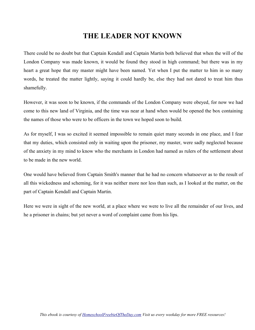## **THE LEADER NOT KNOWN**

There could be no doubt but that Captain Kendall and Captain Martin both believed that when the will of the London Company was made known, it would be found they stood in high command; but there was in my heart a great hope that my master might have been named. Yet when I put the matter to him in so many words, he treated the matter lightly, saying it could hardly be, else they had not dared to treat him thus shamefully.

However, it was soon to be known, if the commands of the London Company were obeyed, for now we had come to this new land of Virginia, and the time was near at hand when would be opened the box containing the names of those who were to be officers in the town we hoped soon to build.

As for myself, I was so excited it seemed impossible to remain quiet many seconds in one place, and I fear that my duties, which consisted only in waiting upon the prisoner, my master, were sadly neglected because of the anxiety in my mind to know who the merchants in London had named as rulers of the settlement about to be made in the new world.

One would have believed from Captain Smith's manner that he had no concern whatsoever as to the result of all this wickedness and scheming, for it was neither more nor less than such, as I looked at the matter, on the part of Captain Kendall and Captain Martin.

Here we were in sight of the new world, at a place where we were to live all the remainder of our lives, and he a prisoner in chains; but yet never a word of complaint came from his lips.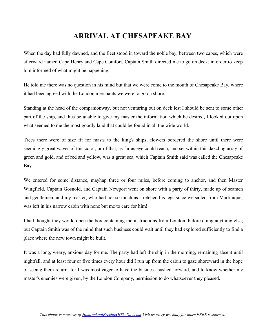## **ARRIVAL AT CHESAPEAKE BAY**

When the day had fully dawned, and the fleet stood in toward the noble bay, between two capes, which were afterward named Cape Henry and Cape Comfort, Captain Smith directed me to go on deck, in order to keep him informed of what might be happening.

He told me there was no question in his mind but that we were come to the mouth of Chesapeake Bay, where it had been agreed with the London merchants we were to go on shore.

Standing at the head of the companionway, but not venturing out on deck lest I should be sent to some other part of the ship, and thus be unable to give my master the information which he desired, I looked out upon what seemed to me the most goodly land that could be found in all the wide world.

Trees there were of size fit for masts to the king's ships; flowers bordered the shore until there were seemingly great waves of this color, or of that, as far as eye could reach, and set within this dazzling array of green and gold, and of red and yellow, was a great sea, which Captain Smith said was called the Chesapeake Bay.

We entered for some distance, mayhap three or four miles, before coming to anchor, and then Master Wingfield, Captain Gosnold, and Captain Newport went on shore with a party of thirty, made up of seamen and gentlemen, and my master, who had not so much as stretched his legs since we sailed from Martinique, was left in his narrow cabin with none but me to care for him!

I had thought they would open the box containing the instructions from London, before doing anything else; but Captain Smith was of the mind that such business could wait until they had explored sufficiently to find a place where the new town might be built.

It was a long, weary, anxious day for me. The party had left the ship in the morning, remaining absent until nightfall, and at least four or five times every hour did I run up from the cabin to gaze shoreward in the hope of seeing them return, for I was most eager to have the business pushed forward, and to know whether my master's enemies were given, by the London Company, permission to do whatsoever they pleased.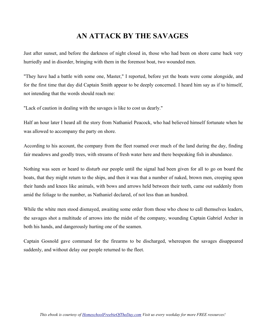## **AN ATTACK BY THE SAVAGES**

Just after sunset, and before the darkness of night closed in, those who had been on shore came back very hurriedly and in disorder, bringing with them in the foremost boat, two wounded men.

"They have had a battle with some one, Master," I reported, before yet the boats were come alongside, and for the first time that day did Captain Smith appear to be deeply concerned. I heard him say as if to himself, not intending that the words should reach me:

"Lack of caution in dealing with the savages is like to cost us dearly."

Half an hour later I heard all the story from Nathaniel Peacock, who had believed himself fortunate when he was allowed to accompany the party on shore.

According to his account, the company from the fleet roamed over much of the land during the day, finding fair meadows and goodly trees, with streams of fresh water here and there bespeaking fish in abundance.

Nothing was seen or heard to disturb our people until the signal had been given for all to go on board the boats, that they might return to the ships, and then it was that a number of naked, brown men, creeping upon their hands and knees like animals, with bows and arrows held between their teeth, came out suddenly from amid the foliage to the number, as Nathaniel declared, of not less than an hundred.

While the white men stood dismayed, awaiting some order from those who chose to call themselves leaders, the savages shot a multitude of arrows into the midst of the company, wounding Captain Gabriel Archer in both his hands, and dangerously hurting one of the seamen.

Captain Gosnold gave command for the firearms to be discharged, whereupon the savages disappeared suddenly, and without delay our people returned to the fleet.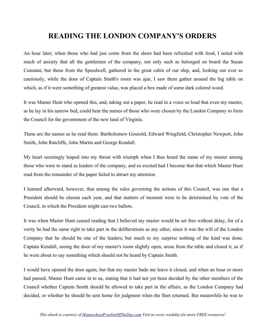#### **READING THE LONDON COMPANY'S ORDERS**

An hour later, when those who had just come from the shore had been refreshed with food, I noted with much of anxiety that all the gentlemen of the company, not only such as belonged on board the Susan Constant, but those from the Speedwell, gathered in the great cabin of our ship, and, looking out ever so cautiously, while the door of Captain Smith's room was ajar, I saw them gather around the big table on which, as if it were something of greatest value, was placed a box made of some dark colored wood.

It was Master Hunt who opened this, and, taking out a paper, he read in a voice so loud that even my master, as he lay in his narrow bed, could hear the names of those who were chosen by the London Company to form the Council for the government of the new land of Virginia.

These are the names as he read them: Bartholomew Gosnold, Edward Wingfield, Christopher Newport, John Smith, John Ratcliffe, John Martin and George Kendall.

My heart seemingly leaped into my throat with triumph when I thus heard the name of my master among those who were to stand as leaders of the company, and so excited had I become that that which Master Hunt read from the remainder of the paper failed to attract my attention.

I learned afterward, however, that among the rules governing the actions of this Council, was one that a President should be chosen each year, and that matters of moment were to be determined by vote of the Council, in which the President might cast two ballots.

It was when Master Hunt ceased reading that I believed my master would be set free without delay, for of a verity he had the same right to take part in the deliberations as any other, since it was the will of the London Company that he should be one of the leaders; but much to my surprise nothing of the kind was done. Captain Kendall, seeing the door of my master's room slightly open, arose from the table and closed it, as if he were about to say something which should not be heard by Captain Smith.

I would have opened the door again, but that my master bade me leave it closed, and when an hour or more had passed, Master Hunt came in to us, stating that it had not yet been decided by the other members of the Council whether Captain Smith should be allowed to take part in the affairs, as the London Company had decided, or whether he should be sent home for judgment when the fleet returned. But meanwhile he was to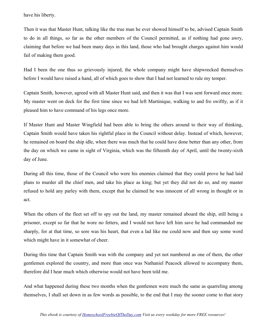have his liberty.

Then it was that Master Hunt, talking like the true man he ever showed himself to be, advised Captain Smith to do in all things, so far as the other members of the Council permitted, as if nothing had gone awry, claiming that before we had been many days in this land, those who had brought charges against him would fail of making them good.

Had I been the one thus so grievously injured, the whole company might have shipwrecked themselves before I would have raised a hand, all of which goes to show that I had not learned to rule my temper.

Captain Smith, however, agreed with all Master Hunt said, and then it was that I was sent forward once more. My master went on deck for the first time since we had left Martinique, walking to and fro swiftly, as if it pleased him to have command of his legs once more.

If Master Hunt and Master Wingfield had been able to bring the others around to their way of thinking, Captain Smith would have taken his rightful place in the Council without delay. Instead of which, however, he remained on board the ship idle, when there was much that he could have done better than any other, from the day on which we came in sight of Virginia, which was the fifteenth day of April, until the twenty-sixth day of June.

During all this time, those of the Council who were his enemies claimed that they could prove he had laid plans to murder all the chief men, and take his place as king; but yet they did not do so, and my master refused to hold any parley with them, except that he claimed he was innocent of all wrong in thought or in act.

When the others of the fleet set off to spy out the land, my master remained aboard the ship, still being a prisoner, except so far that he wore no fetters, and I would not have left him save he had commanded me sharply, for at that time, so sore was his heart, that even a lad like me could now and then say some word which might have in it somewhat of cheer.

During this time that Captain Smith was with the company and yet not numbered as one of them, the other gentlemen explored the country, and more than once was Nathaniel Peacock allowed to accompany them, therefore did I hear much which otherwise would not have been told me.

And what happened during these two months when the gentlemen were much the same as quarreling among themselves, I shall set down in as few words as possible, to the end that I may the sooner come to that story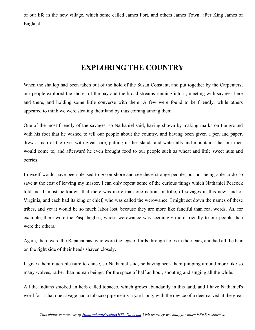of our life in the new village, which some called James Fort, and others James Town, after King James of England.

# **EXPLORING THE COUNTRY**

When the shallop had been taken out of the hold of the Susan Constant, and put together by the Carpenters, our people explored the shores of the bay and the broad streams running into it, meeting with savages here and there, and holding some little converse with them. A few were found to be friendly, while others appeared to think we were stealing their land by thus coming among them.

One of the most friendly of the savages, so Nathaniel said, having shown by making marks on the ground with his foot that he wished to tell our people about the country, and having been given a pen and paper, drew a map of the river with great care, putting in the islands and waterfalls and mountains that our men would come to, and afterward he even brought food to our people such as wheat and little sweet nuts and berries.

I myself would have been pleased to go on shore and see these strange people, but not being able to do so save at the cost of leaving my master, I can only repeat some of the curious things which Nathaniel Peacock told me. It must be known that there was more than one nation, or tribe, of savages in this new land of Virginia, and each had its king or chief, who was called the werowance. I might set down the names of these tribes, and yet it would be so much labor lost, because they are more like fanciful than real words. As, for example, there were the Paspaheghes, whose werowance was seemingly more friendly to our people than were the others.

Again, there were the Rapahannas, who wore the legs of birds through holes in their ears, and had all the hair on the right side of their heads shaven closely.

It gives them much pleasure to dance, so Nathaniel said, he having seen them jumping around more like so many wolves, rather than human beings, for the space of half an hour, shouting and singing all the while.

All the Indians smoked an herb called tobacco, which grows abundantly in this land, and I have Nathaniel's word for it that one savage had a tobacco pipe nearly a yard long, with the device of a deer carved at the great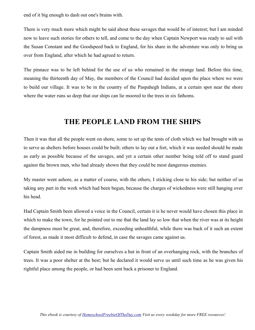end of it big enough to dash out one's brains with.

There is very much more which might be said about these savages that would be of interest; but I am minded now to leave such stories for others to tell, and come to the day when Captain Newport was ready to sail with the Susan Constant and the Goodspeed back to England, for his share in the adventure was only to bring us over from England, after which he had agreed to return.

The pinnace was to be left behind for the use of us who remained in the strange land. Before this time, meaning the thirteenth day of May, the members of the Council had decided upon the place where we were to build our village. It was to be in the country of the Paspahegh Indians, at a certain spot near the shore where the water runs so deep that our ships can lie moored to the trees in six fathoms.

#### **THE PEOPLE LAND FROM THE SHIPS**

Then it was that all the people went on shore, some to set up the tents of cloth which we had brought with us to serve as shelters before houses could be built; others to lay out a fort, which it was needed should be made as early as possible because of the savages, and yet a certain other number being told off to stand guard against the brown men, who had already shown that they could be most dangerous enemies.

My master went ashore, as a matter of course, with the others, I sticking close to his side; but neither of us taking any part in the work which had been begun, because the charges of wickedness were still hanging over his head.

Had Captain Smith been allowed a voice in the Council, certain it is he never would have chosen this place in which to make the town, for he pointed out to me that the land lay so low that when the river was at its height the dampness must be great, and, therefore, exceeding unhealthful, while there was back of it such an extent of forest, as made it most difficult to defend, in case the savages came against us.

Captain Smith aided me in building for ourselves a hut in front of an overhanging rock, with the branches of trees. It was a poor shelter at the best; but he declared it would serve us until such time as he was given his rightful place among the people, or had been sent back a prisoner to England.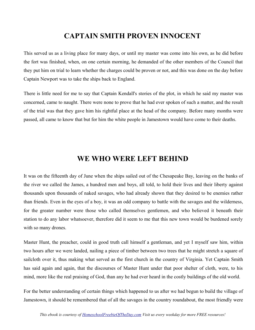#### **CAPTAIN SMITH PROVEN INNOCENT**

This served us as a living place for many days, or until my master was come into his own, as he did before the fort was finished, when, on one certain morning, he demanded of the other members of the Council that they put him on trial to learn whether the charges could be proven or not, and this was done on the day before Captain Newport was to take the ships back to England.

There is little need for me to say that Captain Kendall's stories of the plot, in which he said my master was concerned, came to naught. There were none to prove that he had ever spoken of such a matter, and the result of the trial was that they gave him his rightful place at the head of the company. Before many months were passed, all came to know that but for him the white people in Jamestown would have come to their deaths.

## **WE WHO WERE LEFT BEHIND**

It was on the fifteenth day of June when the ships sailed out of the Chesapeake Bay, leaving on the banks of the river we called the James, a hundred men and boys, all told, to hold their lives and their liberty against thousands upon thousands of naked savages, who had already shown that they desired to be enemies rather than friends. Even in the eyes of a boy, it was an odd company to battle with the savages and the wilderness, for the greater number were those who called themselves gentlemen, and who believed it beneath their station to do any labor whatsoever, therefore did it seem to me that this new town would be burdened sorely with so many drones.

Master Hunt, the preacher, could in good truth call himself a gentleman, and yet I myself saw him, within two hours after we were landed, nailing a piece of timber between two trees that he might stretch a square of sailcloth over it, thus making what served as the first church in the country of Virginia. Yet Captain Smith has said again and again, that the discourses of Master Hunt under that poor shelter of cloth, were, to his mind, more like the real praising of God, than any he had ever heard in the costly buildings of the old world.

For the better understanding of certain things which happened to us after we had begun to build the village of Jamestown, it should be remembered that of all the savages in the country roundabout, the most friendly were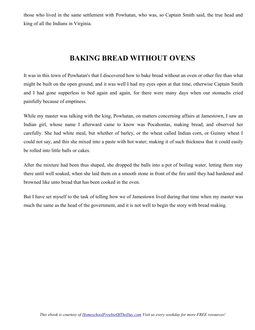those who lived in the same settlement with Powhatan, who was, so Captain Smith said, the true head and king of all the Indians in Virginia.

## **BAKING BREAD WITHOUT OVENS**

It was in this town of Powhatan's that I discovered how to bake bread without an oven or other fire than what might be built on the open ground, and it was well I had my eyes open at that time, otherwise Captain Smith and I had gone supperless to bed again and again, for there were many days when our stomachs cried painfully because of emptiness.

While my master was talking with the king, Powhatan, on matters concerning affairs at Jamestown, I saw an Indian girl, whose name I afterward came to know was Pocahontas, making bread, and observed her carefully. She had white meal, but whether of barley, or the wheat called Indian corn, or Guinny wheat I could not say, and this she mixed into a paste with hot water; making it of such thickness that it could easily be rolled into little balls or cakes.

After the mixture had been thus shaped, she dropped the balls into a pot of boiling water, letting them stay there until well soaked, when she laid them on a smooth stone in front of the fire until they had hardened and browned like unto bread that has been cooked in the oven.

But I have set myself to the task of telling how we of Jamestown lived during that time when my master was much the same as the head of the government, and it is not well to begin the story with bread making.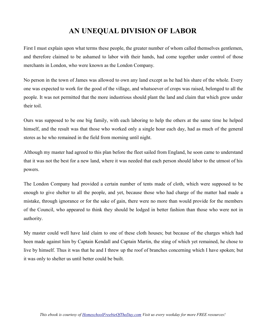# **AN UNEQUAL DIVISION OF LABOR**

First I must explain upon what terms these people, the greater number of whom called themselves gentlemen, and therefore claimed to be ashamed to labor with their hands, had come together under control of those merchants in London, who were known as the London Company.

No person in the town of James was allowed to own any land except as he had his share of the whole. Every one was expected to work for the good of the village, and whatsoever of crops was raised, belonged to all the people. It was not permitted that the more industrious should plant the land and claim that which grew under their toil.

Ours was supposed to be one big family, with each laboring to help the others at the same time he helped himself, and the result was that those who worked only a single hour each day, had as much of the general stores as he who remained in the field from morning until night.

Although my master had agreed to this plan before the fleet sailed from England, he soon came to understand that it was not the best for a new land, where it was needed that each person should labor to the utmost of his powers.

The London Company had provided a certain number of tents made of cloth, which were supposed to be enough to give shelter to all the people, and yet, because those who had charge of the matter had made a mistake, through ignorance or for the sake of gain, there were no more than would provide for the members of the Council, who appeared to think they should be lodged in better fashion than those who were not in authority.

My master could well have laid claim to one of these cloth houses; but because of the charges which had been made against him by Captain Kendall and Captain Martin, the sting of which yet remained, he chose to live by himself. Thus it was that he and I threw up the roof of branches concerning which I have spoken; but it was only to shelter us until better could be built.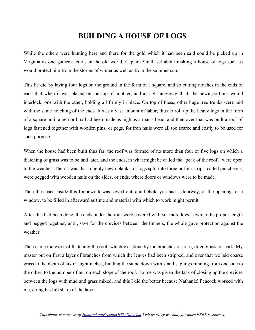## **BUILDING A HOUSE OF LOGS**

While the others were hunting here and there for the gold which it had been said could be picked up in Virginia as one gathers acorns in the old world, Captain Smith set about making a house of logs such as would protect him from the storms of winter as well as from the summer sun.

This he did by laying four logs on the ground in the form of a square, and so cutting notches in the ends of each that when it was placed on the top of another, and at right angles with it, the hewn portions would interlock, one with the other, holding all firmly in place. On top of these, other huge tree trunks were laid with the same notching of the ends. It was a vast amount of labor, thus to roll up the heavy logs in the form of a square until a pen or box had been made as high as a man's head, and then over that was built a roof of logs fastened together with wooden pins, or pegs, for iron nails were all too scarce and costly to be used for such purpose.

When the house had been built thus far, the roof was formed of no more than four or five logs on which a thatching of grass was to be laid later, and the ends, in what might be called the "peak of the roof," were open to the weather. Then it was that roughly hewn planks, or logs split into three or four strips, called puncheons, were pegged with wooden nails on the sides, or ends, where doors or windows were to be made.

Then the space inside this framework was sawed out, and behold you had a doorway, or the opening for a window, to be filled in afterward as time and material with which to work might permit.

After this had been done, the ends under the roof were covered with yet more logs, sawn to the proper length and pegged together, until, save for the crevices between the timbers, the whole gave protection against the weather.

Then came the work of thatching the roof, which was done by the branches of trees, dried grass, or bark. My master put on first a layer of branches from which the leaves had been stripped, and over that we laid coarse grass to the depth of six or eight inches, binding the same down with small saplings running from one side to the other, to the number of ten on each slope of the roof. To me was given the task of closing up the crevices between the logs with mud and grass mixed, and this I did the better because Nathaniel Peacock worked with me, doing his full share of the labor.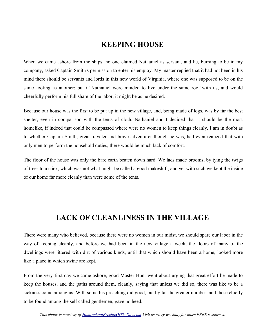#### **KEEPING HOUSE**

When we came ashore from the ships, no one claimed Nathaniel as servant, and he, burning to be in my company, asked Captain Smith's permission to enter his employ. My master replied that it had not been in his mind there should be servants and lords in this new world of Virginia, where one was supposed to be on the same footing as another; but if Nathaniel were minded to live under the same roof with us, and would cheerfully perform his full share of the labor, it might be as he desired.

Because our house was the first to be put up in the new village, and, being made of logs, was by far the best shelter, even in comparison with the tents of cloth, Nathaniel and I decided that it should be the most homelike, if indeed that could be compassed where were no women to keep things cleanly. I am in doubt as to whether Captain Smith, great traveler and brave adventurer though he was, had even realized that with only men to perform the household duties, there would be much lack of comfort.

The floor of the house was only the bare earth beaten down hard. We lads made brooms, by tying the twigs of trees to a stick, which was not what might be called a good makeshift, and yet with such we kept the inside of our home far more cleanly than were some of the tents.

## **LACK OF CLEANLINESS IN THE VILLAGE**

There were many who believed, because there were no women in our midst, we should spare our labor in the way of keeping cleanly, and before we had been in the new village a week, the floors of many of the dwellings were littered with dirt of various kinds, until that which should have been a home, looked more like a place in which swine are kept.

From the very first day we came ashore, good Master Hunt went about urging that great effort be made to keep the houses, and the paths around them, cleanly, saying that unless we did so, there was like to be a sickness come among us. With some his preaching did good, but by far the greater number, and these chiefly to be found among the self called gentlemen, gave no heed.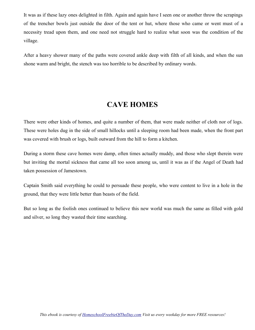It was as if these lazy ones delighted in filth. Again and again have I seen one or another throw the scrapings of the trencher bowls just outside the door of the tent or hut, where those who came or went must of a necessity tread upon them, and one need not struggle hard to realize what soon was the condition of the village.

After a heavy shower many of the paths were covered ankle deep with filth of all kinds, and when the sun shone warm and bright, the stench was too horrible to be described by ordinary words.

## **CAVE HOMES**

There were other kinds of homes, and quite a number of them, that were made neither of cloth nor of logs. These were holes dug in the side of small hillocks until a sleeping room had been made, when the front part was covered with brush or logs, built outward from the hill to form a kitchen.

During a storm these cave homes were damp, often times actually muddy, and those who slept therein were but inviting the mortal sickness that came all too soon among us, until it was as if the Angel of Death had taken possession of Jamestown.

Captain Smith said everything he could to persuade these people, who were content to live in a hole in the ground, that they were little better than beasts of the field.

But so long as the foolish ones continued to believe this new world was much the same as filled with gold and silver, so long they wasted their time searching.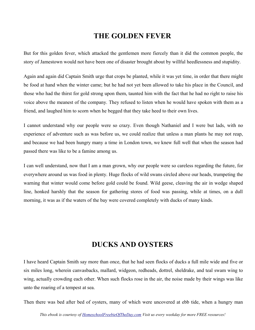#### **THE GOLDEN FEVER**

But for this golden fever, which attacked the gentlemen more fiercely than it did the common people, the story of Jamestown would not have been one of disaster brought about by willful heedlessness and stupidity.

Again and again did Captain Smith urge that crops be planted, while it was yet time, in order that there might be food at hand when the winter came; but he had not yet been allowed to take his place in the Council, and those who had the thirst for gold strong upon them, taunted him with the fact that he had no right to raise his voice above the meanest of the company. They refused to listen when he would have spoken with them as a friend, and laughed him to scorn when he begged that they take heed to their own lives.

I cannot understand why our people were so crazy. Even though Nathaniel and I were but lads, with no experience of adventure such as was before us, we could realize that unless a man plants he may not reap, and because we had been hungry many a time in London town, we knew full well that when the season had passed there was like to be a famine among us.

I can well understand, now that I am a man grown, why our people were so careless regarding the future, for everywhere around us was food in plenty. Huge flocks of wild swans circled above our heads, trumpeting the warning that winter would come before gold could be found. Wild geese, cleaving the air in wedge shaped line, honked harshly that the season for gathering stores of food was passing, while at times, on a dull morning, it was as if the waters of the bay were covered completely with ducks of many kinds.

#### **DUCKS AND OYSTERS**

I have heard Captain Smith say more than once, that he had seen flocks of ducks a full mile wide and five or six miles long, wherein canvasbacks, mallard, widgeon, redheads, dottrel, sheldrake, and teal swam wing to wing, actually crowding each other. When such flocks rose in the air, the noise made by their wings was like unto the roaring of a tempest at sea.

Then there was bed after bed of oysters, many of which were uncovered at ebb tide, when a hungry man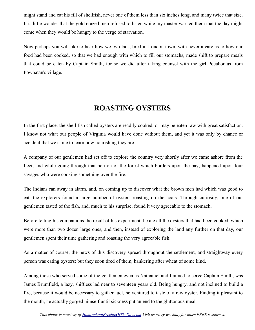might stand and eat his fill of shellfish, never one of them less than six inches long, and many twice that size. It is little wonder that the gold crazed men refused to listen while my master warned them that the day might come when they would be hungry to the verge of starvation.

Now perhaps you will like to hear how we two lads, bred in London town, with never a care as to how our food had been cooked, so that we had enough with which to fill our stomachs, made shift to prepare meals that could be eaten by Captain Smith, for so we did after taking counsel with the girl Pocahontas from Powhatan's village.

## **ROASTING OYSTERS**

In the first place, the shell fish called oysters are readily cooked, or may be eaten raw with great satisfaction. I know not what our people of Virginia would have done without them, and yet it was only by chance or accident that we came to learn how nourishing they are.

A company of our gentlemen had set off to explore the country very shortly after we came ashore from the fleet, and while going through that portion of the forest which borders upon the bay, happened upon four savages who were cooking something over the fire.

The Indians ran away in alarm, and, on coming up to discover what the brown men had which was good to eat, the explorers found a large number of oysters roasting on the coals. Through curiosity, one of our gentlemen tasted of the fish, and, much to his surprise, found it very agreeable to the stomach.

Before telling his companions the result of his experiment, he ate all the oysters that had been cooked, which were more than two dozen large ones, and then, instead of exploring the land any further on that day, our gentlemen spent their time gathering and roasting the very agreeable fish.

As a matter of course, the news of this discovery spread throughout the settlement, and straightway every person was eating oysters; but they soon tired of them, hankering after wheat of some kind.

Among those who served some of the gentlemen even as Nathaniel and I aimed to serve Captain Smith, was James Brumfield, a lazy, shiftless lad near to seventeen years old. Being hungry, and not inclined to build a fire, because it would be necessary to gather fuel, he ventured to taste of a raw oyster. Finding it pleasant to the mouth, he actually gorged himself until sickness put an end to the gluttonous meal.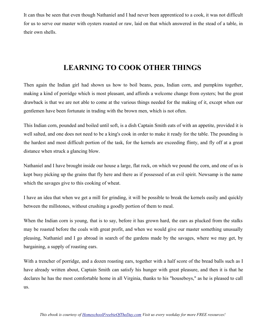It can thus be seen that even though Nathaniel and I had never been apprenticed to a cook, it was not difficult for us to serve our master with oysters roasted or raw, laid on that which answered in the stead of a table, in their own shells.

# **LEARNING TO COOK OTHER THINGS**

Then again the Indian girl had shown us how to boil beans, peas, Indian corn, and pumpkins together, making a kind of porridge which is most pleasant, and affords a welcome change from oysters; but the great drawback is that we are not able to come at the various things needed for the making of it, except when our gentlemen have been fortunate in trading with the brown men, which is not often.

This Indian corn, pounded and boiled until soft, is a dish Captain Smith eats of with an appetite, provided it is well salted, and one does not need to be a king's cook in order to make it ready for the table. The pounding is the hardest and most difficult portion of the task, for the kernels are exceeding flinty, and fly off at a great distance when struck a glancing blow.

Nathaniel and I have brought inside our house a large, flat rock, on which we pound the corn, and one of us is kept busy picking up the grains that fly here and there as if possessed of an evil spirit. Newsamp is the name which the savages give to this cooking of wheat.

I have an idea that when we get a mill for grinding, it will be possible to break the kernels easily and quickly between the millstones, without crushing a goodly portion of them to meal.

When the Indian corn is young, that is to say, before it has grown hard, the ears as plucked from the stalks may be roasted before the coals with great profit, and when we would give our master something unusually pleasing, Nathaniel and I go abroad in search of the gardens made by the savages, where we may get, by bargaining, a supply of roasting ears.

With a trencher of porridge, and a dozen roasting ears, together with a half score of the bread balls such as I have already written about, Captain Smith can satisfy his hunger with great pleasure, and then it is that he declares he has the most comfortable home in all Virginia, thanks to his "houseboys," as he is pleased to call us.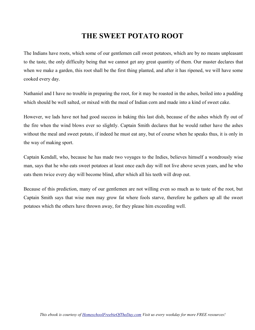## **THE SWEET POTATO ROOT**

The Indians have roots, which some of our gentlemen call sweet potatoes, which are by no means unpleasant to the taste, the only difficulty being that we cannot get any great quantity of them. Our master declares that when we make a garden, this root shall be the first thing planted, and after it has ripened, we will have some cooked every day.

Nathaniel and I have no trouble in preparing the root, for it may be roasted in the ashes, boiled into a pudding which should be well salted, or mixed with the meal of Indian corn and made into a kind of sweet cake.

However, we lads have not had good success in baking this last dish, because of the ashes which fly out of the fire when the wind blows ever so slightly. Captain Smith declares that he would rather have the ashes without the meal and sweet potato, if indeed he must eat any, but of course when he speaks thus, it is only in the way of making sport.

Captain Kendall, who, because he has made two voyages to the Indies, believes himself a wondrously wise man, says that he who eats sweet potatoes at least once each day will not live above seven years, and he who eats them twice every day will become blind, after which all his teeth will drop out.

Because of this prediction, many of our gentlemen are not willing even so much as to taste of the root, but Captain Smith says that wise men may grow fat where fools starve, therefore he gathers up all the sweet potatoes which the others have thrown away, for they please him exceeding well.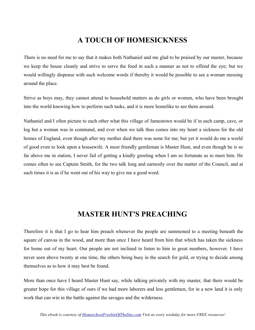# **A TOUCH OF HOMESICKNESS**

There is no need for me to say that it makes both Nathaniel and me glad to be praised by our master, because we keep the house cleanly and strive to serve the food in such a manner as not to offend the eye; but we would willingly dispense with such welcome words if thereby it would be possible to see a woman messing around the place.

Strive as boys may, they cannot attend to household matters as do girls or women, who have been brought into the world knowing how to perform such tasks, and it is more homelike to see them around.

Nathaniel and I often picture to each other what this village of Jamestown would be if in each camp, cave, or log hut a woman was in command, and ever when we talk thus comes into my heart a sickness for the old homes of England, even though after my mother died there was none for me; but yet it would do me a world of good even to look upon a housewife. A most friendly gentleman is Master Hunt, and even though he is so far above me in station, I never fail of getting a kindly greeting when I am so fortunate as to meet him. He comes often to see Captain Smith, for the two talk long and earnestly over the matter of the Council, and at such times it is as if he went out of his way to give me a good word.

## **MASTER HUNT'S PREACHING**

Therefore it is that I go to hear him preach whenever the people are summoned to a meeting beneath the square of canvas in the wood, and more than once I have heard from him that which has taken the sickness for home out of my heart. Our people are not inclined to listen to him in great numbers, however. I have never seen above twenty at one time, the others being busy in the search for gold, or trying to decide among themselves as to how it may best be found.

More than once have I heard Master Hunt say, while talking privately with my master, that there would be greater hope for this village of ours if we had more laborers and less gentlemen, for in a new land it is only work that can win in the battle against the savages and the wilderness.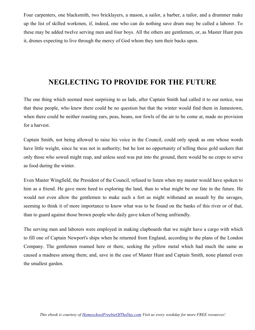Four carpenters, one blacksmith, two bricklayers, a mason, a sailor, a barber, a tailor, and a drummer make up the list of skilled workmen, if, indeed, one who can do nothing save drum may be called a laborer. To these may be added twelve serving men and four boys. All the others are gentlemen, or, as Master Hunt puts it, drones expecting to live through the mercy of God whom they turn their backs upon.

### **NEGLECTING TO PROVIDE FOR THE FUTURE**

The one thing which seemed most surprising to us lads, after Captain Smith had called it to our notice, was that these people, who knew there could be no question but that the winter would find them in Jamestown, when there could be neither roasting ears, peas, beans, nor fowls of the air to be come at, made no provision for a harvest.

Captain Smith, not being allowed to raise his voice in the Council, could only speak as one whose words have little weight, since he was not in authority; but he lost no opportunity of telling these gold seekers that only those who sowed might reap, and unless seed was put into the ground, there would be no crops to serve as food during the winter.

Even Master Wingfield, the President of the Council, refused to listen when my master would have spoken to him as a friend. He gave more heed to exploring the land, than to what might be our fate in the future. He would not even allow the gentlemen to make such a fort as might withstand an assault by the savages, seeming to think it of more importance to know what was to be found on the banks of this river or of that, than to guard against those brown people who daily gave token of being unfriendly.

The serving men and laborers were employed in making clapboards that we might have a cargo with which to fill one of Captain Newport's ships when he returned from England, according to the plans of the London Company. The gentlemen roamed here or there, seeking the yellow metal which had much the same as caused a madness among them; and, save in the case of Master Hunt and Captain Smith, none planted even the smallest garden.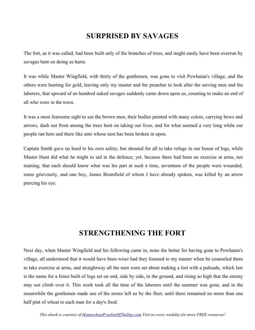# **SURPRISED BY SAVAGES**

The fort, as it was called, had been built only of the branches of trees, and might easily have been overrun by savages bent on doing us harm.

It was while Master Wingfield, with thirty of the gentlemen, was gone to visit Powhatan's village, and the others were hunting for gold, leaving only my master and the preacher to look after the serving men and the laborers, that upward of an hundred naked savages suddenly came down upon us, counting to make an end of all who were in the town.

It was a most fearsome sight to see the brown men, their bodies painted with many colors, carrying bows and arrows, dash out from among the trees bent on taking our lives, and for what seemed a very long while our people ran here and there like ants whose nest has been broken in upon.

Captain Smith gave no heed to his own safety; but shouted for all to take refuge in our house of logs, while Master Hunt did what he might to aid in the defence; yet, because there had been no exercise at arms, nor training, that each should know what was his part at such a time, seventeen of the people were wounded, some grievously, and one boy, James Brumfield of whom I have already spoken, was killed by an arrow piercing his eye.

#### **STRENGTHENING THE FORT**

Next day, when Master Wingfield and his following came in, none the better for having gone to Powhatan's village, all understood that it would have been wiser had they listened to my master when he counseled them to take exercise at arms, and straightway all the men were set about making a fort with a palisade, which last is the name for a fence built of logs set on end, side by side, in the ground, and rising so high that the enemy may not climb over it. This work took all the time of the laborers until the summer was gone, and in the meanwhile the gentlemen made use of the stores left us by the fleet, until there remained no more than one half pint of wheat to each man for a day's food.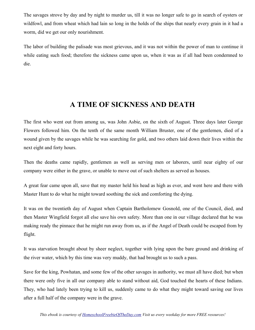The savages strove by day and by night to murder us, till it was no longer safe to go in search of oysters or wildfowl, and from wheat which had lain so long in the holds of the ships that nearly every grain in it had a worm, did we get our only nourishment.

The labor of building the palisade was most grievous, and it was not within the power of man to continue it while eating such food; therefore the sickness came upon us, when it was as if all had been condemned to die.

# **A TIME OF SICKNESS AND DEATH**

The first who went out from among us, was John Asbie, on the sixth of August. Three days later George Flowers followed him. On the tenth of the same month William Bruster, one of the gentlemen, died of a wound given by the savages while he was searching for gold, and two others laid down their lives within the next eight and forty hours.

Then the deaths came rapidly, gentlemen as well as serving men or laborers, until near eighty of our company were either in the grave, or unable to move out of such shelters as served as houses.

A great fear came upon all, save that my master held his head as high as ever, and went here and there with Master Hunt to do what he might toward soothing the sick and comforting the dying.

It was on the twentieth day of August when Captain Bartholomew Gosnold, one of the Council, died, and then Master Wingfield forgot all else save his own safety. More than one in our village declared that he was making ready the pinnace that he might run away from us, as if the Angel of Death could be escaped from by flight.

It was starvation brought about by sheer neglect, together with lying upon the bare ground and drinking of the river water, which by this time was very muddy, that had brought us to such a pass.

Save for the king, Powhatan, and some few of the other savages in authority, we must all have died; but when there were only five in all our company able to stand without aid, God touched the hearts of these Indians. They, who had lately been trying to kill us, suddenly came to do what they might toward saving our lives after a full half of the company were in the grave.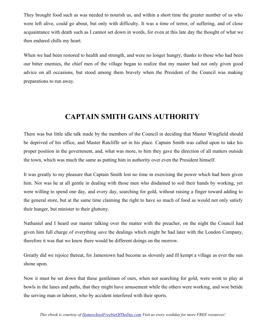They brought food such as was needed to nourish us, and within a short time the greater number of us who were left alive, could go about, but only with difficulty. It was a time of terror, of suffering, and of close acquaintance with death such as I cannot set down in words, for even at this late day the thought of what we then endured chills my heart.

When we had been restored to health and strength, and were no longer hungry, thanks to those who had been our bitter enemies, the chief men of the village began to realize that my master had not only given good advice on all occasions, but stood among them bravely when the President of the Council was making preparations to run away.

## **CAPTAIN SMITH GAINS AUTHORITY**

There was but little idle talk made by the members of the Council in deciding that Master Wingfield should be deprived of his office, and Master Ratcliffe set in his place. Captain Smith was called upon to take his proper position in the government, and, what was more, to him they gave the direction of all matters outside the town, which was much the same as putting him in authority over even the President himself.

It was greatly to my pleasure that Captain Smith lost no time in exercising the power which had been given him. Nor was he at all gentle in dealing with those men who disdained to soil their hands by working, yet were willing to spend one day, and every day, searching for gold, without raising a finger toward adding to the general store, but at the same time claiming the right to have so much of food as would not only satisfy their hunger, but minister to their gluttony.

Nathaniel and I heard our master talking over the matter with the preacher, on the night the Council had given him full charge of everything save the dealings which might be had later with the London Company, therefore it was that we knew there would be different doings on the morrow.

Greatly did we rejoice thereat, for Jamestown had become as slovenly and ill kempt a village as ever the sun shone upon.

Now it must be set down that these gentlemen of ours, when not searching for gold, were wont to play at bowls in the lanes and paths, that they might have amusement while the others were working, and woe betide the serving man or laborer, who by accident interfered with their sports.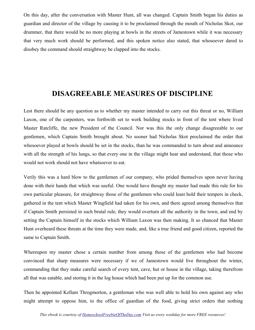On this day, after the conversation with Master Hunt, all was changed. Captain Smith began his duties as guardian and director of the village by causing it to be proclaimed through the mouth of Nicholas Skot, our drummer, that there would be no more playing at bowls in the streets of Jamestown while it was necessary that very much work should be performed, and this spoken notice also stated, that whosoever dared to disobey the command should straightway be clapped into the stocks.

#### **DISAGREEABLE MEASURES OF DISCIPLINE**

Lest there should be any question as to whether my master intended to carry out this threat or no, William Laxon, one of the carpenters, was forthwith set to work building stocks in front of the tent where lived Master Ratcliffe, the new President of the Council. Nor was this the only change disagreeable to our gentlemen, which Captain Smith brought about. No sooner had Nicholas Skot proclaimed the order that whosoever played at bowls should be set in the stocks, than he was commanded to turn about and announce with all the strength of his lungs, so that every one in the village might hear and understand, that those who would not work should not have whatsoever to eat.

Verily this was a hard blow to the gentlemen of our company, who prided themselves upon never having done with their hands that which was useful. One would have thought my master had made this rule for his own particular pleasure, for straightway those of the gentlemen who could least hold their tempers in check, gathered in the tent which Master Wingfield had taken for his own, and there agreed among themselves that if Captain Smith persisted in such brutal rule, they would overturn all the authority in the town, and end by setting the Captain himself in the stocks which William Laxon was then making. It so chanced that Master Hunt overheard these threats at the time they were made, and, like a true friend and good citizen, reported the same to Captain Smith.

Whereupon my master chose a certain number from among those of the gentlemen who had become convinced that sharp measures were necessary if we of Jamestown would live throughout the winter, commanding that they make careful search of every tent, cave, hut or house in the village, taking therefrom all that was eatable, and storing it in the log house which had been put up for the common use.

Then he appointed Kellam Throgmorton, a gentleman who was well able to hold his own against any who might attempt to oppose him, to the office of guardian of the food, giving strict orders that nothing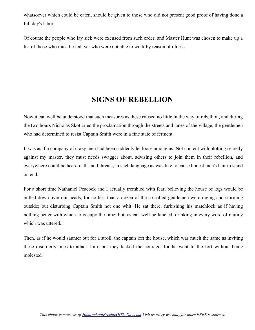whatsoever which could be eaten, should be given to those who did not present good proof of having done a full day's labor.

Of course the people who lay sick were excused from such order, and Master Hunt was chosen to make up a list of those who must be fed, yet who were not able to work by reason of illness.

### **SIGNS OF REBELLION**

Now it can well be understood that such measures as these caused no little in the way of rebellion, and during the two hours Nicholas Skot cried the proclamation through the streets and lanes of the village, the gentlemen who had determined to resist Captain Smith were in a fine state of ferment.

It was as if a company of crazy men had been suddenly let loose among us. Not content with plotting secretly against my master, they must needs swagger about, advising others to join them in their rebellion, and everywhere could be heard oaths and threats, in such language as was like to cause honest men's hair to stand on end.

For a short time Nathaniel Peacock and I actually trembled with fear, believing the house of logs would be pulled down over our heads, for no less than a dozen of the so called gentlemen were raging and storming outside; but disturbing Captain Smith not one whit. He sat there, furbishing his matchlock as if having nothing better with which to occupy the time; but, as can well be fancied, drinking in every word of mutiny which was uttered.

Then, as if he would saunter out for a stroll, the captain left the house, which was much the same as inviting these disorderly ones to attack him; but they lacked the courage, for he went to the fort without being molested.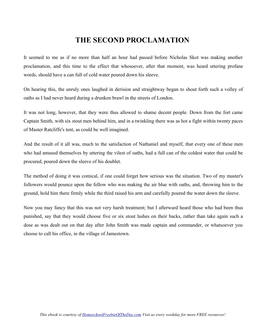# **THE SECOND PROCLAMATION**

It seemed to me as if no more than half an hour had passed before Nicholas Skot was making another proclamation, and this time to the effect that whosoever, after that moment, was heard uttering profane words, should have a can full of cold water poured down his sleeve.

On hearing this, the unruly ones laughed in derision and straightway began to shout forth such a volley of oaths as I had never heard during a drunken brawl in the streets of London.

It was not long, however, that they were thus allowed to shame decent people. Down from the fort came Captain Smith, with six stout men behind him, and in a twinkling there was as hot a fight within twenty paces of Master Ratcliffe's tent, as could be well imagined.

And the result of it all was, much to the satisfaction of Nathaniel and myself, that every one of these men who had amused themselves by uttering the vilest of oaths, had a full can of the coldest water that could be procured, poured down the sleeve of his doublet.

The method of doing it was comical, if one could forget how serious was the situation. Two of my master's followers would pounce upon the fellow who was making the air blue with oaths, and, throwing him to the ground, hold him there firmly while the third raised his arm and carefully poured the water down the sleeve.

Now you may fancy that this was not very harsh treatment; but I afterward heard those who had been thus punished, say that they would choose five or six stout lashes on their backs, rather than take again such a dose as was dealt out on that day after John Smith was made captain and commander, or whatsoever you choose to call his office, in the village of Jamestown.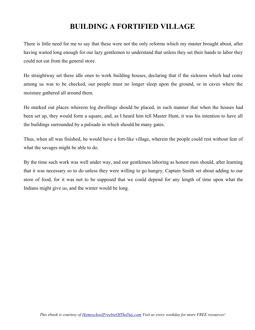# **BUILDING A FORTIFIED VILLAGE**

There is little need for me to say that these were not the only reforms which my master brought about, after having waited long enough for our lazy gentlemen to understand that unless they set their hands to labor they could not eat from the general store.

He straightway set these idle ones to work building houses, declaring that if the sickness which had come among us was to be checked, our people must no longer sleep upon the ground, or in caves where the moisture gathered all around them.

He marked out places whereon log dwellings should be placed, in such manner that when the houses had been set up, they would form a square, and, as I heard him tell Master Hunt, it was his intention to have all the buildings surrounded by a palisade in which should be many gates.

Thus, when all was finished, he would have a fort-like village, wherein the people could rest without fear of what the savages might be able to do.

By the time such work was well under way, and our gentlemen laboring as honest men should, after learning that it was necessary so to do unless they were willing to go hungry, Captain Smith set about adding to our store of food, for it was not to be supposed that we could depend for any length of time upon what the Indians might give us, and the winter would be long.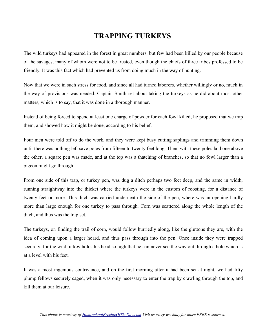# **TRAPPING TURKEYS**

The wild turkeys had appeared in the forest in great numbers, but few had been killed by our people because of the savages, many of whom were not to be trusted, even though the chiefs of three tribes professed to be friendly. It was this fact which had prevented us from doing much in the way of hunting.

Now that we were in such stress for food, and since all had turned laborers, whether willingly or no, much in the way of provisions was needed. Captain Smith set about taking the turkeys as he did about most other matters, which is to say, that it was done in a thorough manner.

Instead of being forced to spend at least one charge of powder for each fowl killed, he proposed that we trap them, and showed how it might be done, according to his belief.

Four men were told off to do the work, and they were kept busy cutting saplings and trimming them down until there was nothing left save poles from fifteen to twenty feet long. Then, with these poles laid one above the other, a square pen was made, and at the top was a thatching of branches, so that no fowl larger than a pigeon might go through.

From one side of this trap, or turkey pen, was dug a ditch perhaps two feet deep, and the same in width, running straightway into the thicket where the turkeys were in the custom of roosting, for a distance of twenty feet or more. This ditch was carried underneath the side of the pen, where was an opening hardly more than large enough for one turkey to pass through. Corn was scattered along the whole length of the ditch, and thus was the trap set.

The turkeys, on finding the trail of corn, would follow hurriedly along, like the gluttons they are, with the idea of coming upon a larger hoard, and thus pass through into the pen. Once inside they were trapped securely, for the wild turkey holds his head so high that he can never see the way out through a hole which is at a level with his feet.

It was a most ingenious contrivance, and on the first morning after it had been set at night, we had fifty plump fellows securely caged, when it was only necessary to enter the trap by crawling through the top, and kill them at our leisure.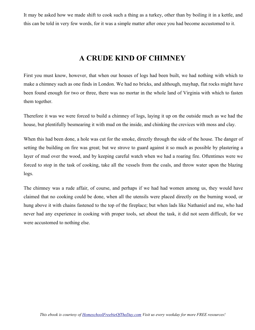It may be asked how we made shift to cook such a thing as a turkey, other than by boiling it in a kettle, and this can be told in very few words, for it was a simple matter after once you had become accustomed to it.

# **A CRUDE KIND OF CHIMNEY**

First you must know, however, that when our houses of logs had been built, we had nothing with which to make a chimney such as one finds in London. We had no bricks, and although, mayhap, flat rocks might have been found enough for two or three, there was no mortar in the whole land of Virginia with which to fasten them together.

Therefore it was we were forced to build a chimney of logs, laying it up on the outside much as we had the house, but plentifully besmearing it with mud on the inside, and chinking the crevices with moss and clay.

When this had been done, a hole was cut for the smoke, directly through the side of the house. The danger of setting the building on fire was great; but we strove to guard against it so much as possible by plastering a layer of mud over the wood, and by keeping careful watch when we had a roaring fire. Oftentimes were we forced to stop in the task of cooking, take all the vessels from the coals, and throw water upon the blazing logs.

The chimney was a rude affair, of course, and perhaps if we had had women among us, they would have claimed that no cooking could be done, when all the utensils were placed directly on the burning wood, or hung above it with chains fastened to the top of the fireplace; but when lads like Nathaniel and me, who had never had any experience in cooking with proper tools, set about the task, it did not seem difficult, for we were accustomed to nothing else.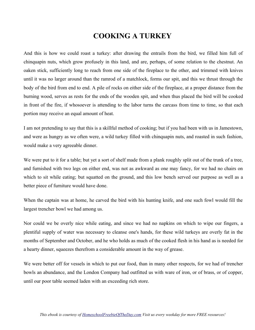## **COOKING A TURKEY**

And this is how we could roast a turkey: after drawing the entrails from the bird, we filled him full of chinquapin nuts, which grow profusely in this land, and are, perhaps, of some relation to the chestnut. An oaken stick, sufficiently long to reach from one side of the fireplace to the other, and trimmed with knives until it was no larger around than the ramrod of a matchlock, forms our spit, and this we thrust through the body of the bird from end to end. A pile of rocks on either side of the fireplace, at a proper distance from the burning wood, serves as rests for the ends of the wooden spit, and when thus placed the bird will be cooked in front of the fire, if whosoever is attending to the labor turns the carcass from time to time, so that each portion may receive an equal amount of heat.

I am not pretending to say that this is a skillful method of cooking; but if you had been with us in Jamestown, and were as hungry as we often were, a wild turkey filled with chinquapin nuts, and roasted in such fashion, would make a very agreeable dinner.

We were put to it for a table; but yet a sort of shelf made from a plank roughly split out of the trunk of a tree, and furnished with two legs on either end, was not as awkward as one may fancy, for we had no chairs on which to sit while eating; but squatted on the ground, and this low bench served our purpose as well as a better piece of furniture would have done.

When the captain was at home, he carved the bird with his hunting knife, and one such fowl would fill the largest trencher bowl we had among us.

Nor could we be overly nice while eating, and since we had no napkins on which to wipe our fingers, a plentiful supply of water was necessary to cleanse one's hands, for these wild turkeys are overly fat in the months of September and October, and he who holds as much of the cooked flesh in his hand as is needed for a hearty dinner, squeezes therefrom a considerable amount in the way of grease.

We were better off for vessels in which to put our food, than in many other respects, for we had of trencher bowls an abundance, and the London Company had outfitted us with ware of iron, or of brass, or of copper, until our poor table seemed laden with an exceeding rich store.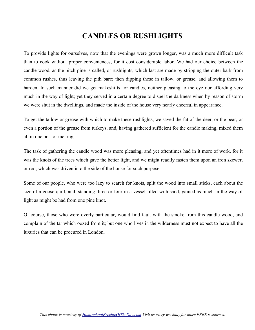# **CANDLES OR RUSHLIGHTS**

To provide lights for ourselves, now that the evenings were grown longer, was a much more difficult task than to cook without proper conveniences, for it cost considerable labor. We had our choice between the candle wood, as the pitch pine is called, or rushlights, which last are made by stripping the outer bark from common rushes, thus leaving the pith bare; then dipping these in tallow, or grease, and allowing them to harden. In such manner did we get makeshifts for candles, neither pleasing to the eye nor affording very much in the way of light; yet they served in a certain degree to dispel the darkness when by reason of storm we were shut in the dwellings, and made the inside of the house very nearly cheerful in appearance.

To get the tallow or grease with which to make these rushlights, we saved the fat of the deer, or the bear, or even a portion of the grease from turkeys, and, having gathered sufficient for the candle making, mixed them all in one pot for melting.

The task of gathering the candle wood was more pleasing, and yet oftentimes had in it more of work, for it was the knots of the trees which gave the better light, and we might readily fasten them upon an iron skewer, or rod, which was driven into the side of the house for such purpose.

Some of our people, who were too lazy to search for knots, split the wood into small sticks, each about the size of a goose quill, and, standing three or four in a vessel filled with sand, gained as much in the way of light as might be had from one pine knot.

Of course, those who were overly particular, would find fault with the smoke from this candle wood, and complain of the tar which oozed from it; but one who lives in the wilderness must not expect to have all the luxuries that can be procured in London.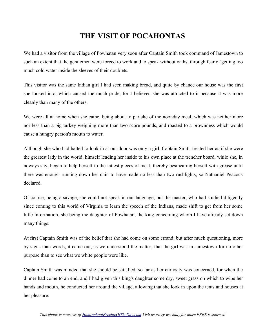# **THE VISIT OF POCAHONTAS**

We had a visitor from the village of Powhatan very soon after Captain Smith took command of Jamestown to such an extent that the gentlemen were forced to work and to speak without oaths, through fear of getting too much cold water inside the sleeves of their doublets.

This visitor was the same Indian girl I had seen making bread, and quite by chance our house was the first she looked into, which caused me much pride, for I believed she was attracted to it because it was more cleanly than many of the others.

We were all at home when she came, being about to partake of the noonday meal, which was neither more nor less than a big turkey weighing more than two score pounds, and roasted to a brownness which would cause a hungry person's mouth to water.

Although she who had halted to look in at our door was only a girl, Captain Smith treated her as if she were the greatest lady in the world, himself leading her inside to his own place at the trencher board, while she, in noways shy, began to help herself to the fattest pieces of meat, thereby besmearing herself with grease until there was enough running down her chin to have made no less than two rushlights, so Nathaniel Peacock declared.

Of course, being a savage, she could not speak in our language, but the master, who had studied diligently since coming to this world of Virginia to learn the speech of the Indians, made shift to get from her some little information, she being the daughter of Powhatan, the king concerning whom I have already set down many things.

At first Captain Smith was of the belief that she had come on some errand; but after much questioning, more by signs than words, it came out, as we understood the matter, that the girl was in Jamestown for no other purpose than to see what we white people were like.

Captain Smith was minded that she should be satisfied, so far as her curiosity was concerned, for when the dinner had come to an end, and I had given this king's daughter some dry, sweet grass on which to wipe her hands and mouth, he conducted her around the village, allowing that she look in upon the tents and houses at her pleasure.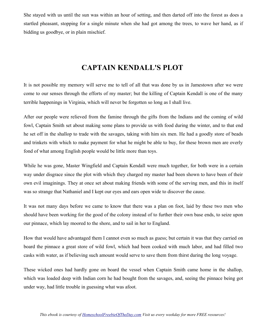She stayed with us until the sun was within an hour of setting, and then darted off into the forest as does a startled pheasant, stopping for a single minute when she had got among the trees, to wave her hand, as if bidding us goodbye, or in plain mischief.

# **CAPTAIN KENDALL'S PLOT**

It is not possible my memory will serve me to tell of all that was done by us in Jamestown after we were come to our senses through the efforts of my master; but the killing of Captain Kendall is one of the many terrible happenings in Virginia, which will never be forgotten so long as I shall live.

After our people were relieved from the famine through the gifts from the Indians and the coming of wild fowl, Captain Smith set about making some plans to provide us with food during the winter, and to that end he set off in the shallop to trade with the savages, taking with him six men. He had a goodly store of beads and trinkets with which to make payment for what he might be able to buy, for these brown men are overly fond of what among English people would be little more than toys.

While he was gone, Master Wingfield and Captain Kendall were much together, for both were in a certain way under disgrace since the plot with which they charged my master had been shown to have been of their own evil imaginings. They at once set about making friends with some of the serving men, and this in itself was so strange that Nathaniel and I kept our eyes and ears open wide to discover the cause.

It was not many days before we came to know that there was a plan on foot, laid by these two men who should have been working for the good of the colony instead of to further their own base ends, to seize upon our pinnace, which lay moored to the shore, and to sail in her to England.

How that would have advantaged them I cannot even so much as guess; but certain it was that they carried on board the pinnace a great store of wild fowl, which had been cooked with much labor, and had filled two casks with water, as if believing such amount would serve to save them from thirst during the long voyage.

These wicked ones had hardly gone on board the vessel when Captain Smith came home in the shallop, which was loaded deep with Indian corn he had bought from the savages, and, seeing the pinnace being got under way, had little trouble in guessing what was afoot.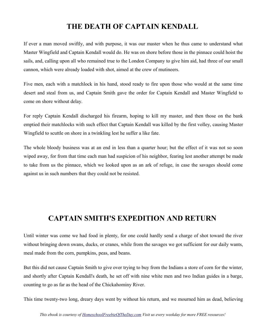# **THE DEATH OF CAPTAIN KENDALL**

If ever a man moved swiftly, and with purpose, it was our master when he thus came to understand what Master Wingfield and Captain Kendall would do. He was on shore before those in the pinnace could hoist the sails, and, calling upon all who remained true to the London Company to give him aid, had three of our small cannon, which were already loaded with shot, aimed at the crew of mutineers.

Five men, each with a matchlock in his hand, stood ready to fire upon those who would at the same time desert and steal from us, and Captain Smith gave the order for Captain Kendall and Master Wingfield to come on shore without delay.

For reply Captain Kendall discharged his firearm, hoping to kill my master, and then those on the bank emptied their matchlocks with such effect that Captain Kendall was killed by the first volley, causing Master Wingfield to scuttle on shore in a twinkling lest he suffer a like fate.

The whole bloody business was at an end in less than a quarter hour; but the effect of it was not so soon wiped away, for from that time each man had suspicion of his neighbor, fearing lest another attempt be made to take from us the pinnace, which we looked upon as an ark of refuge, in case the savages should come against us in such numbers that they could not be resisted.

## **CAPTAIN SMITH'S EXPEDITION AND RETURN**

Until winter was come we had food in plenty, for one could hardly send a charge of shot toward the river without bringing down swans, ducks, or cranes, while from the savages we got sufficient for our daily wants, meal made from the corn, pumpkins, peas, and beans.

But this did not cause Captain Smith to give over trying to buy from the Indians a store of corn for the winter, and shortly after Captain Kendall's death, he set off with nine white men and two Indian guides in a barge, counting to go as far as the head of the Chickahominy River.

This time twenty-two long, dreary days went by without his return, and we mourned him as dead, believing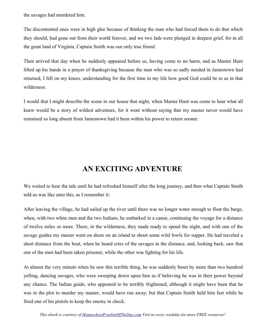the savages had murdered him.

The discontented ones were in high glee because of thinking the man who had forced them to do that which they should, had gone out from their world forever, and we two lads were plunged in deepest grief, for in all the great land of Virginia, Captain Smith was our only true friend.

Then arrived that day when he suddenly appeared before us, having come to no harm, and as Master Hunt lifted up his hands in a prayer of thanksgiving because the man who was so sadly needed in Jamestown had returned, I fell on my knees, understanding for the first time in my life how good God could be to us in that wilderness.

I would that I might describe the scene in our house that night, when Master Hunt was come to hear what all knew would be a story of wildest adventure, for it went without saying that my master never would have remained so long absent from Jamestown had it been within his power to return sooner.

### **AN EXCITING ADVENTURE**

We waited to hear the tale until he had refreshed himself after the long journey, and then what Captain Smith told us was like unto this, as I remember it:

After leaving the village, he had sailed up the river until there was no longer water enough to float the barge, when, with two white men and the two Indians, he embarked in a canoe, continuing the voyage for a distance of twelve miles or more. There, in the wilderness, they made ready to spend the night, and with one of the savage guides my master went on shore on an island to shoot some wild fowls for supper. He had traveled a short distance from the boat, when he heard cries of the savages in the distance, and, looking back, saw that one of the men had been taken prisoner, while the other was fighting for his life.

At almost the very minute when he saw this terrible thing, he was suddenly beset by more than two hundred yelling, dancing savages, who were sweeping down upon him as if believing he was in their power beyond any chance. The Indian guide, who appeared to be terribly frightened, although it might have been that he was in the plot to murder my master, would have run away; but that Captain Smith held him fast while he fired one of his pistols to keep the enemy in check.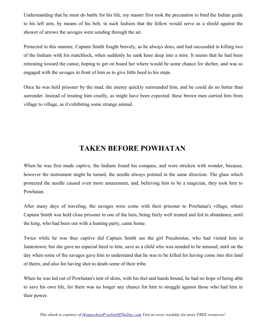Understanding that he must do battle for his life, my master first took the precaution to bind the Indian guide to his left arm, by means of his belt, in such fashion that the fellow would serve as a shield against the shower of arrows the savages were sending through the air.

Protected in this manner, Captain Smith fought bravely, as he always does, and had succeeded in killing two of the Indians with his matchlock, when suddenly he sank knee deep into a mire. It seems that he had been retreating toward the canoe, hoping to get on board her where would be some chance for shelter, and was so engaged with the savages in front of him as to give little heed to his steps.

Once he was held prisoner by the mud, the enemy quickly surrounded him, and he could do no better than surrender. Instead of treating him cruelly, as might have been expected, these brown men carried him from village to village, as if exhibiting some strange animal.

## **TAKEN BEFORE POWHATAN**

When he was first made captive, the Indians found his compass, and were stricken with wonder, because, however the instrument might be turned, the needle always pointed in the same direction. The glass which protected the needle caused even more amazement, and, believing him to be a magician, they took him to Powhatan.

After many days of traveling, the savages were come with their prisoner to Powhatan's village, where Captain Smith was held close prisoner in one of the huts, being fairly well treated and fed in abundance, until the king, who had been out with a hunting party, came home.

Twice while he was thus captive did Captain Smith see the girl Pocahontas, who had visited him in Jamestown; but she gave no especial heed to him, save as a child who was minded to be amused, until on the day when some of the savages gave him to understand that he was to be killed for having come into this land of theirs, and also for having shot to death some of their tribe.

When he was led out of Powhatan's tent of skins, with his feet and hands bound, he had no hope of being able to save his own life, for there was no longer any chance for him to struggle against those who had him in their power.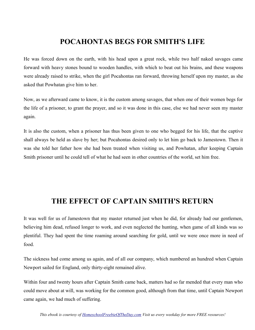### **POCAHONTAS BEGS FOR SMITH'S LIFE**

He was forced down on the earth, with his head upon a great rock, while two half naked savages came forward with heavy stones bound to wooden handles, with which to beat out his brains, and these weapons were already raised to strike, when the girl Pocahontas ran forward, throwing herself upon my master, as she asked that Powhatan give him to her.

Now, as we afterward came to know, it is the custom among savages, that when one of their women begs for the life of a prisoner, to grant the prayer, and so it was done in this case, else we had never seen my master again.

It is also the custom, when a prisoner has thus been given to one who begged for his life, that the captive shall always be held as slave by her; but Pocahontas desired only to let him go back to Jamestown. Then it was she told her father how she had been treated when visiting us, and Powhatan, after keeping Captain Smith prisoner until he could tell of what he had seen in other countries of the world, set him free.

### **THE EFFECT OF CAPTAIN SMITH'S RETURN**

It was well for us of Jamestown that my master returned just when he did, for already had our gentlemen, believing him dead, refused longer to work, and even neglected the hunting, when game of all kinds was so plentiful. They had spent the time roaming around searching for gold, until we were once more in need of food.

The sickness had come among us again, and of all our company, which numbered an hundred when Captain Newport sailed for England, only thirty-eight remained alive.

Within four and twenty hours after Captain Smith came back, matters had so far mended that every man who could move about at will, was working for the common good, although from that time, until Captain Newport came again, we had much of suffering.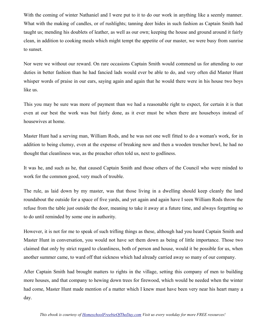With the coming of winter Nathaniel and I were put to it to do our work in anything like a seemly manner. What with the making of candles, or of rushlights; tanning deer hides in such fashion as Captain Smith had taught us; mending his doublets of leather, as well as our own; keeping the house and ground around it fairly clean, in addition to cooking meals which might tempt the appetite of our master, we were busy from sunrise to sunset.

Nor were we without our reward. On rare occasions Captain Smith would commend us for attending to our duties in better fashion than he had fancied lads would ever be able to do, and very often did Master Hunt whisper words of praise in our ears, saying again and again that he would there were in his house two boys like us.

This you may be sure was more of payment than we had a reasonable right to expect, for certain it is that even at our best the work was but fairly done, as it ever must be when there are houseboys instead of housewives at home.

Master Hunt had a serving man, William Rods, and he was not one well fitted to do a woman's work, for in addition to being clumsy, even at the expense of breaking now and then a wooden trencher bowl, he had no thought that cleanliness was, as the preacher often told us, next to godliness.

It was he, and such as he, that caused Captain Smith and those others of the Council who were minded to work for the common good, very much of trouble.

The rule, as laid down by my master, was that those living in a dwelling should keep cleanly the land roundabout the outside for a space of five yards, and yet again and again have I seen William Rods throw the refuse from the table just outside the door, meaning to take it away at a future time, and always forgetting so to do until reminded by some one in authority.

However, it is not for me to speak of such trifling things as these, although had you heard Captain Smith and Master Hunt in conversation, you would not have set them down as being of little importance. Those two claimed that only by strict regard to cleanliness, both of person and house, would it be possible for us, when another summer came, to ward off that sickness which had already carried away so many of our company.

After Captain Smith had brought matters to rights in the village, setting this company of men to building more houses, and that company to hewing down trees for firewood, which would be needed when the winter had come, Master Hunt made mention of a matter which I knew must have been very near his heart many a day.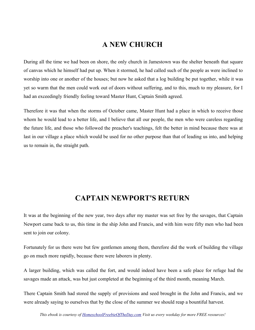### **A NEW CHURCH**

During all the time we had been on shore, the only church in Jamestown was the shelter beneath that square of canvas which he himself had put up. When it stormed, he had called such of the people as were inclined to worship into one or another of the houses; but now he asked that a log building be put together, while it was yet so warm that the men could work out of doors without suffering, and to this, much to my pleasure, for I had an exceedingly friendly feeling toward Master Hunt, Captain Smith agreed.

Therefore it was that when the storms of October came, Master Hunt had a place in which to receive those whom he would lead to a better life, and I believe that all our people, the men who were careless regarding the future life, and those who followed the preacher's teachings, felt the better in mind because there was at last in our village a place which would be used for no other purpose than that of leading us into, and helping us to remain in, the straight path.

### **CAPTAIN NEWPORT'S RETURN**

It was at the beginning of the new year, two days after my master was set free by the savages, that Captain Newport came back to us, this time in the ship John and Francis, and with him were fifty men who had been sent to join our colony.

Fortunately for us there were but few gentlemen among them, therefore did the work of building the village go on much more rapidly, because there were laborers in plenty.

A larger building, which was called the fort, and would indeed have been a safe place for refuge had the savages made an attack, was but just completed at the beginning of the third month, meaning March.

There Captain Smith had stored the supply of provisions and seed brought in the John and Francis, and we were already saying to ourselves that by the close of the summer we should reap a bountiful harvest.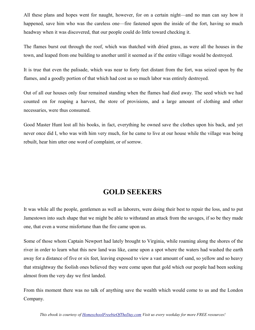All these plans and hopes went for naught, however, for on a certain night—and no man can say how it happened, save him who was the careless one—fire fastened upon the inside of the fort, having so much headway when it was discovered, that our people could do little toward checking it.

The flames burst out through the roof, which was thatched with dried grass, as were all the houses in the town, and leaped from one building to another until it seemed as if the entire village would be destroyed.

It is true that even the palisade, which was near to forty feet distant from the fort, was seized upon by the flames, and a goodly portion of that which had cost us so much labor was entirely destroyed.

Out of all our houses only four remained standing when the flames had died away. The seed which we had counted on for reaping a harvest, the store of provisions, and a large amount of clothing and other necessaries, were thus consumed.

Good Master Hunt lost all his books, in fact, everything he owned save the clothes upon his back, and yet never once did I, who was with him very much, for he came to live at our house while the village was being rebuilt, hear him utter one word of complaint, or of sorrow.

### **GOLD SEEKERS**

It was while all the people, gentlemen as well as laborers, were doing their best to repair the loss, and to put Jamestown into such shape that we might be able to withstand an attack from the savages, if so be they made one, that even a worse misfortune than the fire came upon us.

Some of those whom Captain Newport had lately brought to Virginia, while roaming along the shores of the river in order to learn what this new land was like, came upon a spot where the waters had washed the earth away for a distance of five or six feet, leaving exposed to view a vast amount of sand, so yellow and so heavy that straightway the foolish ones believed they were come upon that gold which our people had been seeking almost from the very day we first landed.

From this moment there was no talk of anything save the wealth which would come to us and the London Company.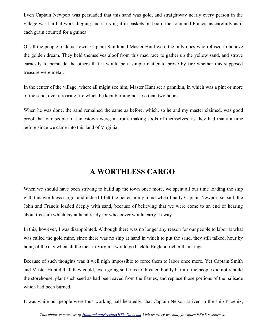Even Captain Newport was persuaded that this sand was gold, and straightway nearly every person in the village was hard at work digging and carrying it in baskets on board the John and Francis as carefully as if each grain counted for a guinea.

Of all the people of Jamestown, Captain Smith and Master Hunt were the only ones who refused to believe the golden dream. They held themselves aloof from this mad race to gather up the yellow sand, and strove earnestly to persuade the others that it would be a simple matter to prove by fire whether this supposed treasure were metal.

In the center of the village, where all might see him, Master Hunt set a pannikin, in which was a pint or more of the sand, over a roaring fire which he kept burning not less than two hours.

When he was done, the sand remained the same as before, which, so he and my master claimed, was good proof that our people of Jamestown were, in truth, making fools of themselves, as they had many a time before since we came into this land of Virginia.

## **A WORTHLESS CARGO**

When we should have been striving to build up the town once more, we spent all our time loading the ship with this worthless cargo, and indeed I felt the better in my mind when finally Captain Newport set sail, the John and Francis loaded deeply with sand, because of believing that we were come to an end of hearing about treasure which lay at hand ready for whosoever would carry it away.

In this, however, I was disappointed. Although there was no longer any reason for our people to labor at what was called the gold mine, since there was no ship at hand in which to put the sand, they still talked, hour by hour, of the day when all the men in Virginia would go back to England richer than kings.

Because of such thoughts was it well nigh impossible to force them to labor once more. Yet Captain Smith and Master Hunt did all they could, even going so far as to threaten bodily harm if the people did not rebuild the storehouse, plant such seed as had been saved from the flames, and replace those portions of the palisade which had been burned.

It was while our people were thus working half heartedly, that Captain Nelson arrived in the ship Phoenix,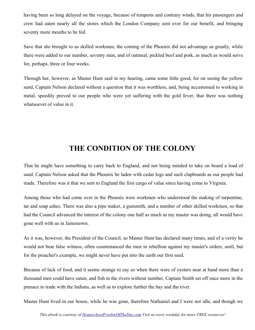having been so long delayed on the voyage, because of tempests and contrary winds, that his passengers and crew had eaten nearly all the stores which the London Company sent over for our benefit, and bringing seventy more mouths to be fed.

Save that she brought to us skilled workmen, the coming of the Phoenix did not advantage us greatly, while there were added to our number, seventy men, and of oatmeal, pickled beef and pork, as much as would serve for, perhaps, three or four weeks.

Through her, however, as Master Hunt said in my hearing, came some little good, for on seeing the yellow sand, Captain Nelson declared without a question that it was worthless, and, being accustomed to working in metal, speedily proved to our people who were yet suffering with the gold fever, that there was nothing whatsoever of value in it.

## **THE CONDITION OF THE COLONY**

That he might have something to carry back to England, and not being minded to take on board a load of sand, Captain Nelson asked that the Phoenix be laden with cedar logs and such clapboards as our people had made. Therefore was it that we sent to England the first cargo of value since having come to Virginia.

Among those who had come over in the Phoenix were workmen who understood the making of turpentine, tar and soap ashes. There was also a pipe maker, a gunsmith, and a number of other skilled workmen, so that had the Council advanced the interest of the colony one half as much as my master was doing, all would have gone well with us in Jamestown.

As it was, however, the President of the Council, so Master Hunt has declared many times, and of a verity he would not bear false witness, often countenanced the men in rebellion against my master's orders, until, but for the preacher's example, we might never have put into the earth our first seed.

Because of lack of food, and it seems strange to say so when there were of oysters near at hand more than a thousand men could have eaten, and fish in the rivers without number, Captain Smith set off once more in the pinnace to trade with the Indians, as well as to explore further the bay and the river.

Master Hunt lived in our house, while he was gone, therefore Nathaniel and I were not idle, and though we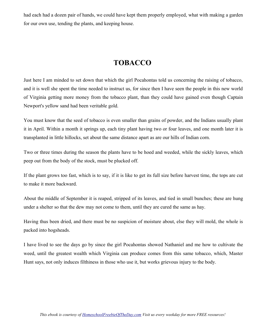had each had a dozen pair of hands, we could have kept them properly employed, what with making a garden for our own use, tending the plants, and keeping house.

## **TOBACCO**

Just here I am minded to set down that which the girl Pocahontas told us concerning the raising of tobacco, and it is well she spent the time needed to instruct us, for since then I have seen the people in this new world of Virginia getting more money from the tobacco plant, than they could have gained even though Captain Newport's yellow sand had been veritable gold.

You must know that the seed of tobacco is even smaller than grains of powder, and the Indians usually plant it in April. Within a month it springs up, each tiny plant having two or four leaves, and one month later it is transplanted in little hillocks, set about the same distance apart as are our hills of Indian corn.

Two or three times during the season the plants have to be hoed and weeded, while the sickly leaves, which peep out from the body of the stock, must be plucked off.

If the plant grows too fast, which is to say, if it is like to get its full size before harvest time, the tops are cut to make it more backward.

About the middle of September it is reaped, stripped of its leaves, and tied in small bunches; these are hung under a shelter so that the dew may not come to them, until they are cured the same as hay.

Having thus been dried, and there must be no suspicion of moisture about, else they will mold, the whole is packed into hogsheads.

I have lived to see the days go by since the girl Pocahontas showed Nathaniel and me how to cultivate the weed, until the greatest wealth which Virginia can produce comes from this same tobacco, which, Master Hunt says, not only induces filthiness in those who use it, but works grievous injury to the body.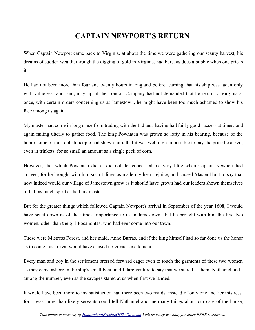## **CAPTAIN NEWPORT'S RETURN**

When Captain Newport came back to Virginia, at about the time we were gathering our scanty harvest, his dreams of sudden wealth, through the digging of gold in Virginia, had burst as does a bubble when one pricks it.

He had not been more than four and twenty hours in England before learning that his ship was laden only with valueless sand, and, mayhap, if the London Company had not demanded that he return to Virginia at once, with certain orders concerning us at Jamestown, he might have been too much ashamed to show his face among us again.

My master had come in long since from trading with the Indians, having had fairly good success at times, and again failing utterly to gather food. The king Powhatan was grown so lofty in his bearing, because of the honor some of our foolish people had shown him, that it was well nigh impossible to pay the price he asked, even in trinkets, for so small an amount as a single peck of corn.

However, that which Powhatan did or did not do, concerned me very little when Captain Newport had arrived, for he brought with him such tidings as made my heart rejoice, and caused Master Hunt to say that now indeed would our village of Jamestown grow as it should have grown had our leaders shown themselves of half as much spirit as had my master.

But for the greater things which followed Captain Newport's arrival in September of the year 1608, I would have set it down as of the utmost importance to us in Jamestown, that he brought with him the first two women, other than the girl Pocahontas, who had ever come into our town.

These were Mistress Forest, and her maid, Anne Burras, and if the king himself had so far done us the honor as to come, his arrival would have caused no greater excitement.

Every man and boy in the settlement pressed forward eager even to touch the garments of these two women as they came ashore in the ship's small boat, and I dare venture to say that we stared at them, Nathaniel and I among the number, even as the savages stared at us when first we landed.

It would have been more to my satisfaction had there been two maids, instead of only one and her mistress, for it was more than likely servants could tell Nathaniel and me many things about our care of the house,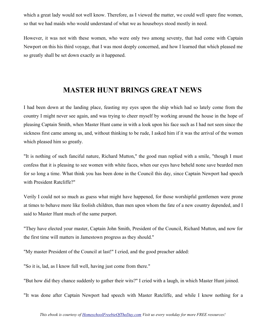which a great lady would not well know. Therefore, as I viewed the matter, we could well spare fine women, so that we had maids who would understand of what we as houseboys stood mostly in need.

However, it was not with these women, who were only two among seventy, that had come with Captain Newport on this his third voyage, that I was most deeply concerned, and how I learned that which pleased me so greatly shall be set down exactly as it happened.

#### **MASTER HUNT BRINGS GREAT NEWS**

I had been down at the landing place, feasting my eyes upon the ship which had so lately come from the country I might never see again, and was trying to cheer myself by working around the house in the hope of pleasing Captain Smith, when Master Hunt came in with a look upon his face such as I had not seen since the sickness first came among us, and, without thinking to be rude, I asked him if it was the arrival of the women which pleased him so greatly.

"It is nothing of such fanciful nature, Richard Mutton," the good man replied with a smile, "though I must confess that it is pleasing to see women with white faces, when our eyes have beheld none save bearded men for so long a time. What think you has been done in the Council this day, since Captain Newport had speech with President Ratcliffe?"

Verily I could not so much as guess what might have happened, for those worshipful gentlemen were prone at times to behave more like foolish children, than men upon whom the fate of a new country depended, and I said to Master Hunt much of the same purport.

"They have elected your master, Captain John Smith, President of the Council, Richard Mutton, and now for the first time will matters in Jamestown progress as they should."

"My master President of the Council at last!" I cried, and the good preacher added:

"So it is, lad, as I know full well, having just come from there."

"But how did they chance suddenly to gather their wits?" I cried with a laugh, in which Master Hunt joined.

"It was done after Captain Newport had speech with Master Ratcliffe, and while I know nothing for a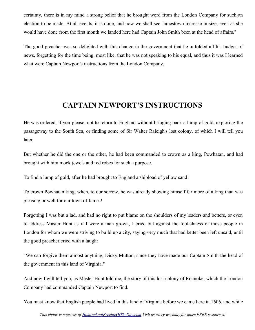certainty, there is in my mind a strong belief that he brought word from the London Company for such an election to be made. At all events, it is done, and now we shall see Jamestown increase in size, even as she would have done from the first month we landed here had Captain John Smith been at the head of affairs."

The good preacher was so delighted with this change in the government that he unfolded all his budget of news, forgetting for the time being, most like, that he was not speaking to his equal, and thus it was I learned what were Captain Newport's instructions from the London Company.

## **CAPTAIN NEWPORT'S INSTRUCTIONS**

He was ordered, if you please, not to return to England without bringing back a lump of gold, exploring the passageway to the South Sea, or finding some of Sir Walter Raleigh's lost colony, of which I will tell you later.

But whether he did the one or the other, he had been commanded to crown as a king, Powhatan, and had brought with him mock jewels and red robes for such a purpose.

To find a lump of gold, after he had brought to England a shipload of yellow sand!

To crown Powhatan king, when, to our sorrow, he was already showing himself far more of a king than was pleasing or well for our town of James!

Forgetting I was but a lad, and had no right to put blame on the shoulders of my leaders and betters, or even to address Master Hunt as if I were a man grown, I cried out against the foolishness of those people in London for whom we were striving to build up a city, saying very much that had better been left unsaid, until the good preacher cried with a laugh:

"We can forgive them almost anything, Dicky Mutton, since they have made our Captain Smith the head of the government in this land of Virginia."

And now I will tell you, as Master Hunt told me, the story of this lost colony of Roanoke, which the London Company had commanded Captain Newport to find.

You must know that English people had lived in this land of Virginia before we came here in 1606, and while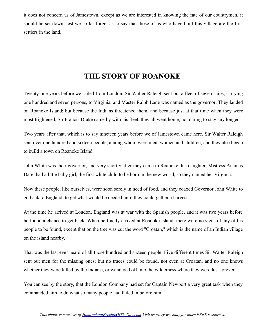it does not concern us of Jamestown, except as we are interested in knowing the fate of our countrymen, it should be set down, lest we so far forget as to say that those of us who have built this village are the first settlers in the land.

### **THE STORY OF ROANOKE**

Twenty-one years before we sailed from London, Sir Walter Raleigh sent out a fleet of seven ships, carrying one hundred and seven persons, to Virginia, and Master Ralph Lane was named as the governor. They landed on Roanoke Island; but because the Indians threatened them, and because just at that time when they were most frightened, Sir Francis Drake came by with his fleet, they all went home, not daring to stay any longer.

Two years after that, which is to say nineteen years before we of Jamestown came here, Sir Walter Raleigh sent over one hundred and sixteen people, among whom were men, women and children, and they also began to build a town on Roanoke Island.

John White was their governor, and very shortly after they came to Roanoke, his daughter, Mistress Ananias Dare, had a little baby girl, the first white child to be born in the new world, so they named her Virginia.

Now these people, like ourselves, were soon sorely in need of food, and they coaxed Governor John White to go back to England, to get what would be needed until they could gather a harvest.

At the time he arrived at London, England was at war with the Spanish people, and it was two years before he found a chance to get back. When he finally arrived at Roanoke Island, there were no signs of any of his people to be found, except that on the tree was cut the word "Croatan," which is the name of an Indian village on the island nearby.

That was the last ever heard of all those hundred and sixteen people. Five different times Sir Walter Raleigh sent out men for the missing ones; but no traces could be found, not even at Croatan, and no one knows whether they were killed by the Indians, or wandered off into the wilderness where they were lost forever.

You can see by the story, that the London Company had set for Captain Newport a very great task when they commanded him to do what so many people had failed in before him.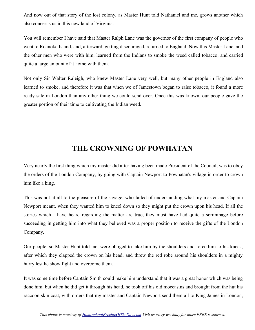And now out of that story of the lost colony, as Master Hunt told Nathaniel and me, grows another which also concerns us in this new land of Virginia.

You will remember I have said that Master Ralph Lane was the governor of the first company of people who went to Roanoke Island, and, afterward, getting discouraged, returned to England. Now this Master Lane, and the other men who were with him, learned from the Indians to smoke the weed called tobacco, and carried quite a large amount of it home with them.

Not only Sir Walter Raleigh, who knew Master Lane very well, but many other people in England also learned to smoke, and therefore it was that when we of Jamestown began to raise tobacco, it found a more ready sale in London than any other thing we could send over. Once this was known, our people gave the greater portion of their time to cultivating the Indian weed.

#### **THE CROWNING OF POWHATAN**

Very nearly the first thing which my master did after having been made President of the Council, was to obey the orders of the London Company, by going with Captain Newport to Powhatan's village in order to crown him like a king.

This was not at all to the pleasure of the savage, who failed of understanding what my master and Captain Newport meant, when they wanted him to kneel down so they might put the crown upon his head. If all the stories which I have heard regarding the matter are true, they must have had quite a scrimmage before succeeding in getting him into what they believed was a proper position to receive the gifts of the London Company.

Our people, so Master Hunt told me, were obliged to take him by the shoulders and force him to his knees, after which they clapped the crown on his head, and threw the red robe around his shoulders in a mighty hurry lest he show fight and overcome them.

It was some time before Captain Smith could make him understand that it was a great honor which was being done him, but when he did get it through his head, he took off his old moccasins and brought from the hut his raccoon skin coat, with orders that my master and Captain Newport send them all to King James in London,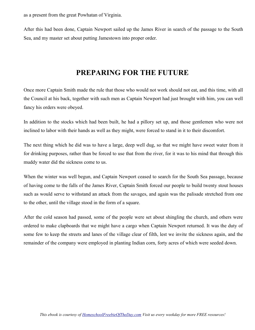as a present from the great Powhatan of Virginia.

After this had been done, Captain Newport sailed up the James River in search of the passage to the South Sea, and my master set about putting Jamestown into proper order.

#### **PREPARING FOR THE FUTURE**

Once more Captain Smith made the rule that those who would not work should not eat, and this time, with all the Council at his back, together with such men as Captain Newport had just brought with him, you can well fancy his orders were obeyed.

In addition to the stocks which had been built, he had a pillory set up, and those gentlemen who were not inclined to labor with their hands as well as they might, were forced to stand in it to their discomfort.

The next thing which he did was to have a large, deep well dug, so that we might have sweet water from it for drinking purposes, rather than be forced to use that from the river, for it was to his mind that through this muddy water did the sickness come to us.

When the winter was well begun, and Captain Newport ceased to search for the South Sea passage, because of having come to the falls of the James River, Captain Smith forced our people to build twenty stout houses such as would serve to withstand an attack from the savages, and again was the palisade stretched from one to the other, until the village stood in the form of a square.

After the cold season had passed, some of the people were set about shingling the church, and others were ordered to make clapboards that we might have a cargo when Captain Newport returned. It was the duty of some few to keep the streets and lanes of the village clear of filth, lest we invite the sickness again, and the remainder of the company were employed in planting Indian corn, forty acres of which were seeded down.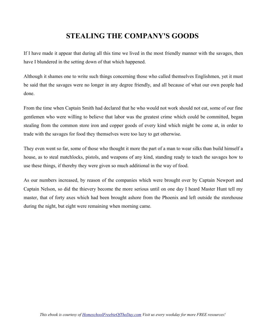# **STEALING THE COMPANY'S GOODS**

If I have made it appear that during all this time we lived in the most friendly manner with the savages, then have I blundered in the setting down of that which happened.

Although it shames one to write such things concerning those who called themselves Englishmen, yet it must be said that the savages were no longer in any degree friendly, and all because of what our own people had done.

From the time when Captain Smith had declared that he who would not work should not eat, some of our fine gentlemen who were willing to believe that labor was the greatest crime which could be committed, began stealing from the common store iron and copper goods of every kind which might be come at, in order to trade with the savages for food they themselves were too lazy to get otherwise.

They even went so far, some of those who thought it more the part of a man to wear silks than build himself a house, as to steal matchlocks, pistols, and weapons of any kind, standing ready to teach the savages how to use these things, if thereby they were given so much additional in the way of food.

As our numbers increased, by reason of the companies which were brought over by Captain Newport and Captain Nelson, so did the thievery become the more serious until on one day I heard Master Hunt tell my master, that of forty axes which had been brought ashore from the Phoenix and left outside the storehouse during the night, but eight were remaining when morning came.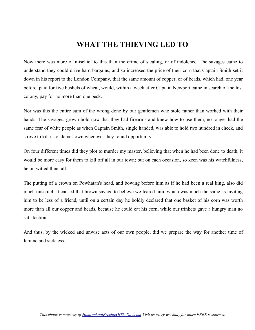### **WHAT THE THIEVING LED TO**

Now there was more of mischief to this than the crime of stealing, or of indolence. The savages came to understand they could drive hard bargains, and so increased the price of their corn that Captain Smith set it down in his report to the London Company, that the same amount of copper, or of beads, which had, one year before, paid for five bushels of wheat, would, within a week after Captain Newport came in search of the lost colony, pay for no more than one peck.

Nor was this the entire sum of the wrong done by our gentlemen who stole rather than worked with their hands. The savages, grown bold now that they had firearms and knew how to use them, no longer had the same fear of white people as when Captain Smith, single handed, was able to hold two hundred in check, and strove to kill us of Jamestown whenever they found opportunity.

On four different times did they plot to murder my master, believing that when he had been done to death, it would be more easy for them to kill off all in our town; but on each occasion, so keen was his watchfulness, he outwitted them all.

The putting of a crown on Powhatan's head, and bowing before him as if he had been a real king, also did much mischief. It caused that brown savage to believe we feared him, which was much the same as inviting him to be less of a friend, until on a certain day he boldly declared that one basket of his corn was worth more than all our copper and beads, because he could eat his corn, while our trinkets gave a hungry man no satisfaction.

And thus, by the wicked and unwise acts of our own people, did we prepare the way for another time of famine and sickness.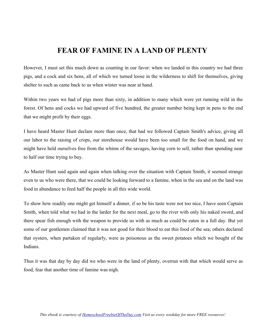# **FEAR OF FAMINE IN A LAND OF PLENTY**

However, I must set this much down as counting in our favor: when we landed in this country we had three pigs, and a cock and six hens, all of which we turned loose in the wilderness to shift for themselves, giving shelter to such as came back to us when winter was near at hand.

Within two years we had of pigs more than sixty, in addition to many which were yet running wild in the forest. Of hens and cocks we had upward of five hundred, the greater number being kept in pens to the end that we might profit by their eggs.

I have heard Master Hunt declare more than once, that had we followed Captain Smith's advice, giving all our labor to the raising of crops, our storehouse would have been too small for the food on hand, and we might have held ourselves free from the whims of the savages, having corn to sell, rather than spending near to half our time trying to buy.

As Master Hunt said again and again when talking over the situation with Captain Smith, it seemed strange even to us who were there, that we could be looking forward to a famine, when in the sea and on the land was food in abundance to feed half the people in all this wide world.

To show how readily one might get himself a dinner, if so be his taste were not too nice, I have seen Captain Smith, when told what we had in the larder for the next meal, go to the river with only his naked sword, and there spear fish enough with the weapon to provide us with as much as could be eaten in a full day. But yet some of our gentlemen claimed that it was not good for their blood to eat this food of the sea; others declared that oysters, when partaken of regularly, were as poisonous as the sweet potatoes which we bought of the Indians.

Thus it was that day by day did we who were in the land of plenty, overrun with that which would serve as food, fear that another time of famine was nigh.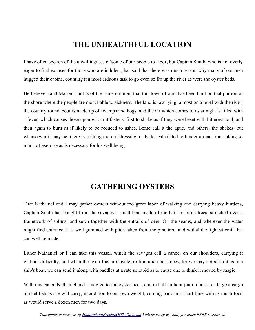#### **THE UNHEALTHFUL LOCATION**

I have often spoken of the unwillingness of some of our people to labor; but Captain Smith, who is not overly eager to find excuses for those who are indolent, has said that there was much reason why many of our men hugged their cabins, counting it a most arduous task to go even so far up the river as were the oyster beds.

He believes, and Master Hunt is of the same opinion, that this town of ours has been built on that portion of the shore where the people are most liable to sickness. The land is low lying, almost on a level with the river; the country roundabout is made up of swamps and bogs, and the air which comes to us at night is filled with a fever, which causes those upon whom it fastens, first to shake as if they were beset with bitterest cold, and then again to burn as if likely to be reduced to ashes. Some call it the ague, and others, the shakes; but whatsoever it may be, there is nothing more distressing, or better calculated to hinder a man from taking so much of exercise as is necessary for his well being.

## **GATHERING OYSTERS**

That Nathaniel and I may gather oysters without too great labor of walking and carrying heavy burdens, Captain Smith has bought from the savages a small boat made of the bark of birch trees, stretched over a framework of splints, and sewn together with the entrails of deer. On the seams, and wherever the water might find entrance, it is well gummed with pitch taken from the pine tree, and withal the lightest craft that can well be made.

Either Nathaniel or I can take this vessel, which the savages call a canoe, on our shoulders, carrying it without difficulty, and when the two of us are inside, resting upon our knees, for we may not sit in it as in a ship's boat, we can send it along with paddles at a rate so rapid as to cause one to think it moved by magic.

With this canoe Nathaniel and I may go to the oyster beds, and in half an hour put on board as large a cargo of shellfish as she will carry, in addition to our own weight, coming back in a short time with as much food as would serve a dozen men for two days.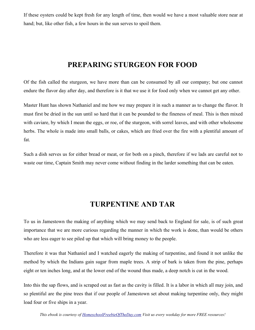If these oysters could be kept fresh for any length of time, then would we have a most valuable store near at hand; but, like other fish, a few hours in the sun serves to spoil them.

### **PREPARING STURGEON FOR FOOD**

Of the fish called the sturgeon, we have more than can be consumed by all our company; but one cannot endure the flavor day after day, and therefore is it that we use it for food only when we cannot get any other.

Master Hunt has shown Nathaniel and me how we may prepare it in such a manner as to change the flavor. It must first be dried in the sun until so hard that it can be pounded to the fineness of meal. This is then mixed with caviare, by which I mean the eggs, or roe, of the sturgeon, with sorrel leaves, and with other wholesome herbs. The whole is made into small balls, or cakes, which are fried over the fire with a plentiful amount of fat.

Such a dish serves us for either bread or meat, or for both on a pinch, therefore if we lads are careful not to waste our time, Captain Smith may never come without finding in the larder something that can be eaten.

### **TURPENTINE AND TAR**

To us in Jamestown the making of anything which we may send back to England for sale, is of such great importance that we are more curious regarding the manner in which the work is done, than would be others who are less eager to see piled up that which will bring money to the people.

Therefore it was that Nathaniel and I watched eagerly the making of turpentine, and found it not unlike the method by which the Indians gain sugar from maple trees. A strip of bark is taken from the pine, perhaps eight or ten inches long, and at the lower end of the wound thus made, a deep notch is cut in the wood.

Into this the sap flows, and is scraped out as fast as the cavity is filled. It is a labor in which all may join, and so plentiful are the pine trees that if our people of Jamestown set about making turpentine only, they might load four or five ships in a year.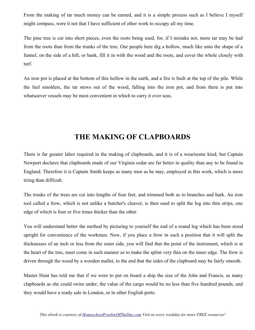From the making of tar much money can be earned, and it is a simple process such as I believe I myself might compass, were it not that I have sufficient of other work to occupy all my time.

The pine tree is cut into short pieces, even the roots being used, for, if I mistake not, more tar may be had from the roots than from the trunks of the tree. Our people here dig a hollow, much like unto the shape of a funnel, on the side of a hill, or bank, fill it in with the wood and the roots, and cover the whole closely with turf.

An iron pot is placed at the bottom of this hollow in the earth, and a fire is built at the top of the pile. While the fuel smolders, the tar stews out of the wood, falling into the iron pot, and from there is put into whatsoever vessels may be most convenient in which to carry it over seas.

#### **THE MAKING OF CLAPBOARDS**

There is far greater labor required in the making of clapboards, and it is of a wearisome kind; but Captain Newport declares that clapboards made of our Virginia cedar are far better in quality than any to be found in England. Therefore it is Captain Smith keeps as many men as he may, employed in this work, which is more tiring than difficult.

The trunks of the trees are cut into lengths of four feet, and trimmed both as to branches and bark. An iron tool called a frow, which is not unlike a butcher's cleaver, is then used to split the log into thin strips, one edge of which is four or five times thicker than the other.

You will understand better the method by picturing to yourself the end of a round log which has been stood upright for convenience of the workmen. Now, if you place a frow in such a position that it will split the thicknesses of an inch or less from the outer side, you will find that the point of the instrument, which is at the heart of the tree, must come in such manner as to make the splint very thin on the inner edge. The frow is driven through the wood by a wooden mallet, to the end that the sides of the clapboard may be fairly smooth.

Master Hunt has told me that if we were to put on board a ship the size of the John and Francis, as many clapboards as she could swim under, the value of the cargo would be no less than five hundred pounds, and they would have a ready sale in London, or in other English ports.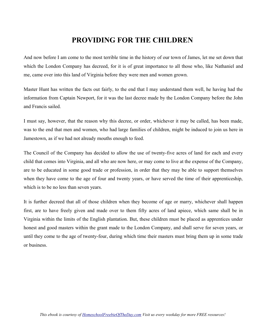# **PROVIDING FOR THE CHILDREN**

And now before I am come to the most terrible time in the history of our town of James, let me set down that which the London Company has decreed, for it is of great importance to all those who, like Nathaniel and me, came over into this land of Virginia before they were men and women grown.

Master Hunt has written the facts out fairly, to the end that I may understand them well, he having had the information from Captain Newport, for it was the last decree made by the London Company before the John and Francis sailed.

I must say, however, that the reason why this decree, or order, whichever it may be called, has been made, was to the end that men and women, who had large families of children, might be induced to join us here in Jamestown, as if we had not already mouths enough to feed.

The Council of the Company has decided to allow the use of twenty-five acres of land for each and every child that comes into Virginia, and all who are now here, or may come to live at the expense of the Company, are to be educated in some good trade or profession, in order that they may be able to support themselves when they have come to the age of four and twenty years, or have served the time of their apprenticeship, which is to be no less than seven years.

It is further decreed that all of those children when they become of age or marry, whichever shall happen first, are to have freely given and made over to them fifty acres of land apiece, which same shall be in Virginia within the limits of the English plantation. But, these children must be placed as apprentices under honest and good masters within the grant made to the London Company, and shall serve for seven years, or until they come to the age of twenty-four, during which time their masters must bring them up in some trade or business.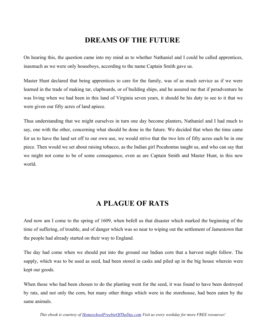#### **DREAMS OF THE FUTURE**

On hearing this, the question came into my mind as to whether Nathaniel and I could be called apprentices, inasmuch as we were only houseboys, according to the name Captain Smith gave us.

Master Hunt declared that being apprentices to care for the family, was of as much service as if we were learned in the trade of making tar, clapboards, or of building ships, and he assured me that if peradventure he was living when we had been in this land of Virginia seven years, it should be his duty to see to it that we were given our fifty acres of land apiece.

Thus understanding that we might ourselves in turn one day become planters, Nathaniel and I had much to say, one with the other, concerning what should be done in the future. We decided that when the time came for us to have the land set off to our own use, we would strive that the two lots of fifty acres each be in one piece. Then would we set about raising tobacco, as the Indian girl Pocahontas taught us, and who can say that we might not come to be of some consequence, even as are Captain Smith and Master Hunt, in this new world.

#### **A PLAGUE OF RATS**

And now am I come to the spring of 1609, when befell us that disaster which marked the beginning of the time of suffering, of trouble, and of danger which was so near to wiping out the settlement of Jamestown that the people had already started on their way to England.

The day had come when we should put into the ground our Indian corn that a harvest might follow. The supply, which was to be used as seed, had been stored in casks and piled up in the big house wherein were kept our goods.

When those who had been chosen to do the planting went for the seed, it was found to have been destroyed by rats, and not only the corn, but many other things which were in the storehouse, had been eaten by the same animals.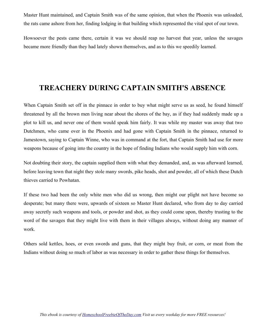Master Hunt maintained, and Captain Smith was of the same opinion, that when the Phoenix was unloaded, the rats came ashore from her, finding lodging in that building which represented the vital spot of our town.

Howsoever the pests came there, certain it was we should reap no harvest that year, unless the savages became more friendly than they had lately shown themselves, and as to this we speedily learned.

#### **TREACHERY DURING CAPTAIN SMITH'S ABSENCE**

When Captain Smith set off in the pinnace in order to buy what might serve us as seed, he found himself threatened by all the brown men living near about the shores of the bay, as if they had suddenly made up a plot to kill us, and never one of them would speak him fairly. It was while my master was away that two Dutchmen, who came over in the Phoenix and had gone with Captain Smith in the pinnace, returned to Jamestown, saying to Captain Winne, who was in command at the fort, that Captain Smith had use for more weapons because of going into the country in the hope of finding Indians who would supply him with corn.

Not doubting their story, the captain supplied them with what they demanded, and, as was afterward learned, before leaving town that night they stole many swords, pike heads, shot and powder, all of which these Dutch thieves carried to Powhatan.

If these two had been the only white men who did us wrong, then might our plight not have become so desperate; but many there were, upwards of sixteen so Master Hunt declared, who from day to day carried away secretly such weapons and tools, or powder and shot, as they could come upon, thereby trusting to the word of the savages that they might live with them in their villages always, without doing any manner of work.

Others sold kettles, hoes, or even swords and guns, that they might buy fruit, or corn, or meat from the Indians without doing so much of labor as was necessary in order to gather these things for themselves.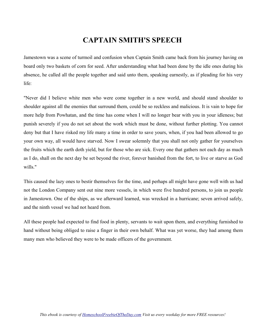## **CAPTAIN SMITH'S SPEECH**

Jamestown was a scene of turmoil and confusion when Captain Smith came back from his journey having on board only two baskets of corn for seed. After understanding what had been done by the idle ones during his absence, he called all the people together and said unto them, speaking earnestly, as if pleading for his very life:

"Never did I believe white men who were come together in a new world, and should stand shoulder to shoulder against all the enemies that surround them, could be so reckless and malicious. It is vain to hope for more help from Powhatan, and the time has come when I will no longer bear with you in your idleness; but punish severely if you do not set about the work which must be done, without further plotting. You cannot deny but that I have risked my life many a time in order to save yours, when, if you had been allowed to go your own way, all would have starved. Now I swear solemnly that you shall not only gather for yourselves the fruits which the earth doth yield, but for those who are sick. Every one that gathers not each day as much as I do, shall on the next day be set beyond the river, forever banished from the fort, to live or starve as God wills."

This caused the lazy ones to bestir themselves for the time, and perhaps all might have gone well with us had not the London Company sent out nine more vessels, in which were five hundred persons, to join us people in Jamestown. One of the ships, as we afterward learned, was wrecked in a hurricane; seven arrived safely, and the ninth vessel we had not heard from.

All these people had expected to find food in plenty, servants to wait upon them, and everything furnished to hand without being obliged to raise a finger in their own behalf. What was yet worse, they had among them many men who believed they were to be made officers of the government.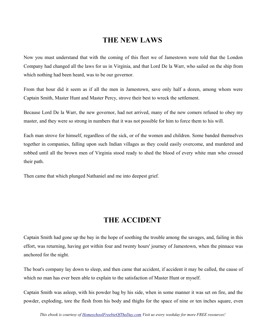#### **THE NEW LAWS**

Now you must understand that with the coming of this fleet we of Jamestown were told that the London Company had changed all the laws for us in Virginia, and that Lord De la Warr, who sailed on the ship from which nothing had been heard, was to be our governor.

From that hour did it seem as if all the men in Jamestown, save only half a dozen, among whom were Captain Smith, Master Hunt and Master Percy, strove their best to wreck the settlement.

Because Lord De la Warr, the new governor, had not arrived, many of the new comers refused to obey my master, and they were so strong in numbers that it was not possible for him to force them to his will.

Each man strove for himself, regardless of the sick, or of the women and children. Some banded themselves together in companies, falling upon such Indian villages as they could easily overcome, and murdered and robbed until all the brown men of Virginia stood ready to shed the blood of every white man who crossed their path.

Then came that which plunged Nathaniel and me into deepest grief.

## **THE ACCIDENT**

Captain Smith had gone up the bay in the hope of soothing the trouble among the savages, and, failing in this effort, was returning, having got within four and twenty hours' journey of Jamestown, when the pinnace was anchored for the night.

The boat's company lay down to sleep, and then came that accident, if accident it may be called, the cause of which no man has ever been able to explain to the satisfaction of Master Hunt or myself.

Captain Smith was asleep, with his powder bag by his side, when in some manner it was set on fire, and the powder, exploding, tore the flesh from his body and thighs for the space of nine or ten inches square, even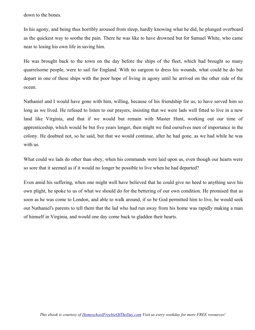down to the bones.

In his agony, and being thus horribly aroused from sleep, hardly knowing what he did, he plunged overboard as the quickest way to soothe the pain. There he was like to have drowned but for Samuel White, who came near to losing his own life in saving him.

He was brought back to the town on the day before the ships of the fleet, which had brought so many quarrelsome people, were to sail for England. With no surgeon to dress his wounds, what could he do but depart in one of these ships with the poor hope of living in agony until he arrived on the other side of the ocean.

Nathaniel and I would have gone with him, willing, because of his friendship for us, to have served him so long as we lived. He refused to listen to our prayers, insisting that we were lads well fitted to live in a new land like Virginia, and that if we would but remain with Master Hunt, working out our time of apprenticeship, which would be but five years longer, then might we find ourselves men of importance in the colony. He doubted not, so he said, but that we would continue, after he had gone, as we had while he was with us.

What could we lads do other than obey, when his commands were laid upon us, even though our hearts were so sore that it seemed as if it would no longer be possible to live when he had departed?

Even amid his suffering, when one might well have believed that he could give no heed to anything save his own plight, he spoke to us of what we should do for the bettering of our own condition. He promised that as soon as he was come to London, and able to walk around, if so be God permitted him to live, he would seek out Nathaniel's parents to tell them that the lad who had run away from his home was rapidly making a man of himself in Virginia, and would one day come back to gladden their hearts.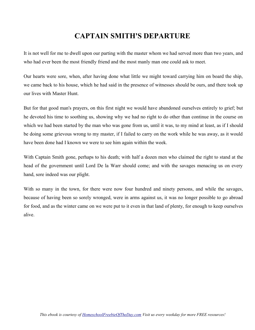## **CAPTAIN SMITH'S DEPARTURE**

It is not well for me to dwell upon our parting with the master whom we had served more than two years, and who had ever been the most friendly friend and the most manly man one could ask to meet.

Our hearts were sore, when, after having done what little we might toward carrying him on board the ship, we came back to his house, which he had said in the presence of witnesses should be ours, and there took up our lives with Master Hunt.

But for that good man's prayers, on this first night we would have abandoned ourselves entirely to grief; but he devoted his time to soothing us, showing why we had no right to do other than continue in the course on which we had been started by the man who was gone from us, until it was, to my mind at least, as if I should be doing some grievous wrong to my master, if I failed to carry on the work while he was away, as it would have been done had I known we were to see him again within the week.

With Captain Smith gone, perhaps to his death; with half a dozen men who claimed the right to stand at the head of the government until Lord De la Warr should come; and with the savages menacing us on every hand, sore indeed was our plight.

With so many in the town, for there were now four hundred and ninety persons, and while the savages, because of having been so sorely wronged, were in arms against us, it was no longer possible to go abroad for food, and as the winter came on we were put to it even in that land of plenty, for enough to keep ourselves alive.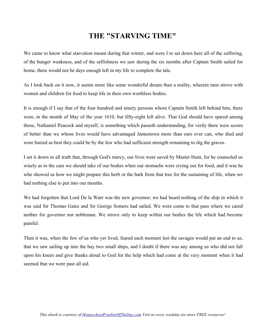#### **THE "STARVING TIME"**

We came to know what starvation meant during that winter, and were I to set down here all of the suffering, of the hunger weakness, and of the selfishness we saw during the six months after Captain Smith sailed for home, there would not be days enough left in my life to complete the tale.

As I look back on it now, it seems more like some wonderful dream than a reality, wherein men strove with women and children for food to keep life in their own worthless bodies.

It is enough if I say that of the four hundred and ninety persons whom Captain Smith left behind him, there were, in the month of May of the year 1610, but fifty-eight left alive. That God should have spared among those, Nathaniel Peacock and myself, is something which passeth understanding, for verily there were scores of better than we whose lives would have advantaged Jamestown more than ours ever can, who died and were buried as best they could be by the few who had sufficient strength remaining to dig the graves.

I set it down in all truth that, through God's mercy, our lives were saved by Master Hunt, for he counseled us wisely as to the care we should take of our bodies when our stomachs were crying out for food, and it was he who showed us how we might prepare this herb or the bark from that tree for the sustaining of life, when we had nothing else to put into our mouths.

We had forgotten that Lord De la Warr was the new governor; we had heard nothing of the ship in which it was said Sir Thomas Gates and Sir George Somers had sailed. We were come to that pass where we cared neither for governor nor nobleman. We strove only to keep within our bodies the life which had become painful.

Then it was, when the few of us who yet lived, feared each moment lest the savages would put an end to us, that we saw sailing up into the bay two small ships, and I doubt if there was any among us who did not fall upon his knees and give thanks aloud to God for the help which had come at the very moment when it had seemed that we were past all aid.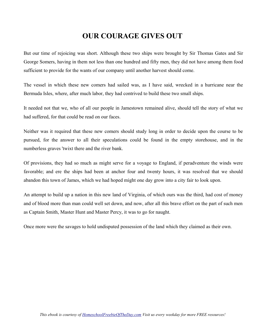## **OUR COURAGE GIVES OUT**

But our time of rejoicing was short. Although these two ships were brought by Sir Thomas Gates and Sir George Somers, having in them not less than one hundred and fifty men, they did not have among them food sufficient to provide for the wants of our company until another harvest should come.

The vessel in which these new comers had sailed was, as I have said, wrecked in a hurricane near the Bermuda Isles, where, after much labor, they had contrived to build these two small ships.

It needed not that we, who of all our people in Jamestown remained alive, should tell the story of what we had suffered, for that could be read on our faces.

Neither was it required that these new comers should study long in order to decide upon the course to be pursued, for the answer to all their speculations could be found in the empty storehouse, and in the numberless graves 'twixt there and the river bank.

Of provisions, they had so much as might serve for a voyage to England, if peradventure the winds were favorable; and ere the ships had been at anchor four and twenty hours, it was resolved that we should abandon this town of James, which we had hoped might one day grow into a city fair to look upon.

An attempt to build up a nation in this new land of Virginia, of which ours was the third, had cost of money and of blood more than man could well set down, and now, after all this brave effort on the part of such men as Captain Smith, Master Hunt and Master Percy, it was to go for naught.

Once more were the savages to hold undisputed possession of the land which they claimed as their own.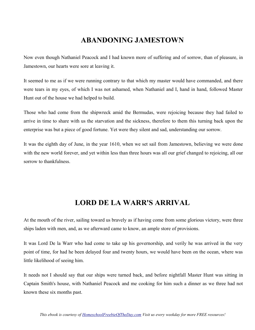# **ABANDONING JAMESTOWN**

Now even though Nathaniel Peacock and I had known more of suffering and of sorrow, than of pleasure, in Jamestown, our hearts were sore at leaving it.

It seemed to me as if we were running contrary to that which my master would have commanded, and there were tears in my eyes, of which I was not ashamed, when Nathaniel and I, hand in hand, followed Master Hunt out of the house we had helped to build.

Those who had come from the shipwreck amid the Bermudas, were rejoicing because they had failed to arrive in time to share with us the starvation and the sickness, therefore to them this turning back upon the enterprise was but a piece of good fortune. Yet were they silent and sad, understanding our sorrow.

It was the eighth day of June, in the year 1610, when we set sail from Jamestown, believing we were done with the new world forever, and yet within less than three hours was all our grief changed to rejoicing, all our sorrow to thankfulness.

#### **LORD DE LA WARR'S ARRIVAL**

At the mouth of the river, sailing toward us bravely as if having come from some glorious victory, were three ships laden with men, and, as we afterward came to know, an ample store of provisions.

It was Lord De la Warr who had come to take up his governorship, and verily he was arrived in the very point of time, for had he been delayed four and twenty hours, we would have been on the ocean, where was little likelihood of seeing him.

It needs not I should say that our ships were turned back, and before nightfall Master Hunt was sitting in Captain Smith's house, with Nathaniel Peacock and me cooking for him such a dinner as we three had not known these six months past.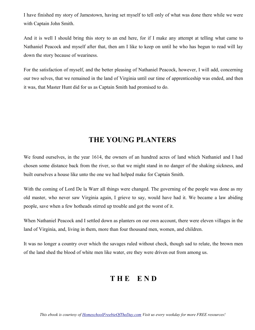I have finished my story of Jamestown, having set myself to tell only of what was done there while we were with Captain John Smith.

And it is well I should bring this story to an end here, for if I make any attempt at telling what came to Nathaniel Peacock and myself after that, then am I like to keep on until he who has begun to read will lay down the story because of weariness.

For the satisfaction of myself, and the better pleasing of Nathaniel Peacock, however, I will add, concerning our two selves, that we remained in the land of Virginia until our time of apprenticeship was ended, and then it was, that Master Hunt did for us as Captain Smith had promised to do.

#### **THE YOUNG PLANTERS**

We found ourselves, in the year 1614, the owners of an hundred acres of land which Nathaniel and I had chosen some distance back from the river, so that we might stand in no danger of the shaking sickness, and built ourselves a house like unto the one we had helped make for Captain Smith.

With the coming of Lord De la Warr all things were changed. The governing of the people was done as my old master, who never saw Virginia again, I grieve to say, would have had it. We became a law abiding people, save when a few hotheads stirred up trouble and got the worst of it.

When Nathaniel Peacock and I settled down as planters on our own account, there were eleven villages in the land of Virginia, and, living in them, more than four thousand men, women, and children.

It was no longer a country over which the savages ruled without check, though sad to relate, the brown men of the land shed the blood of white men like water, ere they were driven out from among us.

## **T H E E N D**